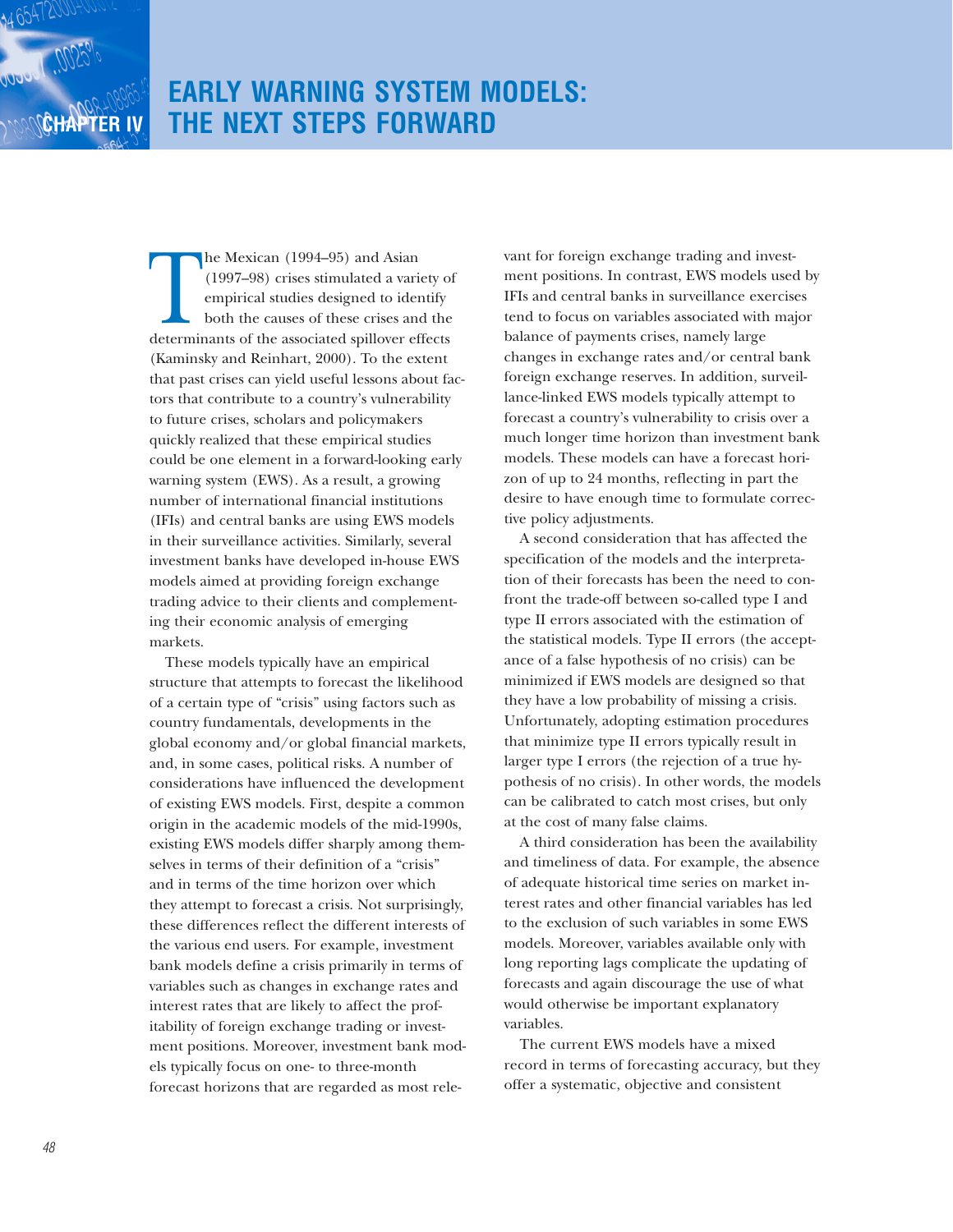# **EARLY WARNING SYSTEM MODELS: THE NEXT STEPS FORWARD**

he Mexican (1994–95) and Asian<br>
(1997–98) crises stimulated a variety of<br>
empirical studies designed to identify<br>
both the causes of these crises and the<br>
determinants of the associated spillover effects (1997–98) crises stimulated a variety of empirical studies designed to identify both the causes of these crises and the (Kaminsky and Reinhart, 2000). To the extent that past crises can yield useful lessons about factors that contribute to a country's vulnerability to future crises, scholars and policymakers quickly realized that these empirical studies could be one element in a forward-looking early warning system (EWS). As a result, a growing number of international financial institutions (IFIs) and central banks are using EWS models in their surveillance activities. Similarly, several investment banks have developed in-house EWS models aimed at providing foreign exchange trading advice to their clients and complementing their economic analysis of emerging markets.

These models typically have an empirical structure that attempts to forecast the likelihood of a certain type of "crisis" using factors such as country fundamentals, developments in the global economy and/or global financial markets, and, in some cases, political risks. A number of considerations have influenced the development of existing EWS models. First, despite a common origin in the academic models of the mid-1990s, existing EWS models differ sharply among themselves in terms of their definition of a "crisis" and in terms of the time horizon over which they attempt to forecast a crisis. Not surprisingly, these differences reflect the different interests of the various end users. For example, investment bank models define a crisis primarily in terms of variables such as changes in exchange rates and interest rates that are likely to affect the profitability of foreign exchange trading or investment positions. Moreover, investment bank models typically focus on one- to three-month forecast horizons that are regarded as most relevant for foreign exchange trading and investment positions. In contrast, EWS models used by IFIs and central banks in surveillance exercises tend to focus on variables associated with major balance of payments crises, namely large changes in exchange rates and/or central bank foreign exchange reserves. In addition, surveillance-linked EWS models typically attempt to forecast a country's vulnerability to crisis over a much longer time horizon than investment bank models. These models can have a forecast horizon of up to 24 months, reflecting in part the desire to have enough time to formulate corrective policy adjustments.

A second consideration that has affected the specification of the models and the interpretation of their forecasts has been the need to confront the trade-off between so-called type I and type II errors associated with the estimation of the statistical models. Type II errors (the acceptance of a false hypothesis of no crisis) can be minimized if EWS models are designed so that they have a low probability of missing a crisis. Unfortunately, adopting estimation procedures that minimize type II errors typically result in larger type I errors (the rejection of a true hypothesis of no crisis). In other words, the models can be calibrated to catch most crises, but only at the cost of many false claims.

A third consideration has been the availability and timeliness of data. For example, the absence of adequate historical time series on market interest rates and other financial variables has led to the exclusion of such variables in some EWS models. Moreover, variables available only with long reporting lags complicate the updating of forecasts and again discourage the use of what would otherwise be important explanatory variables.

The current EWS models have a mixed record in terms of forecasting accuracy, but they offer a systematic, objective and consistent

**CHAPTER IV**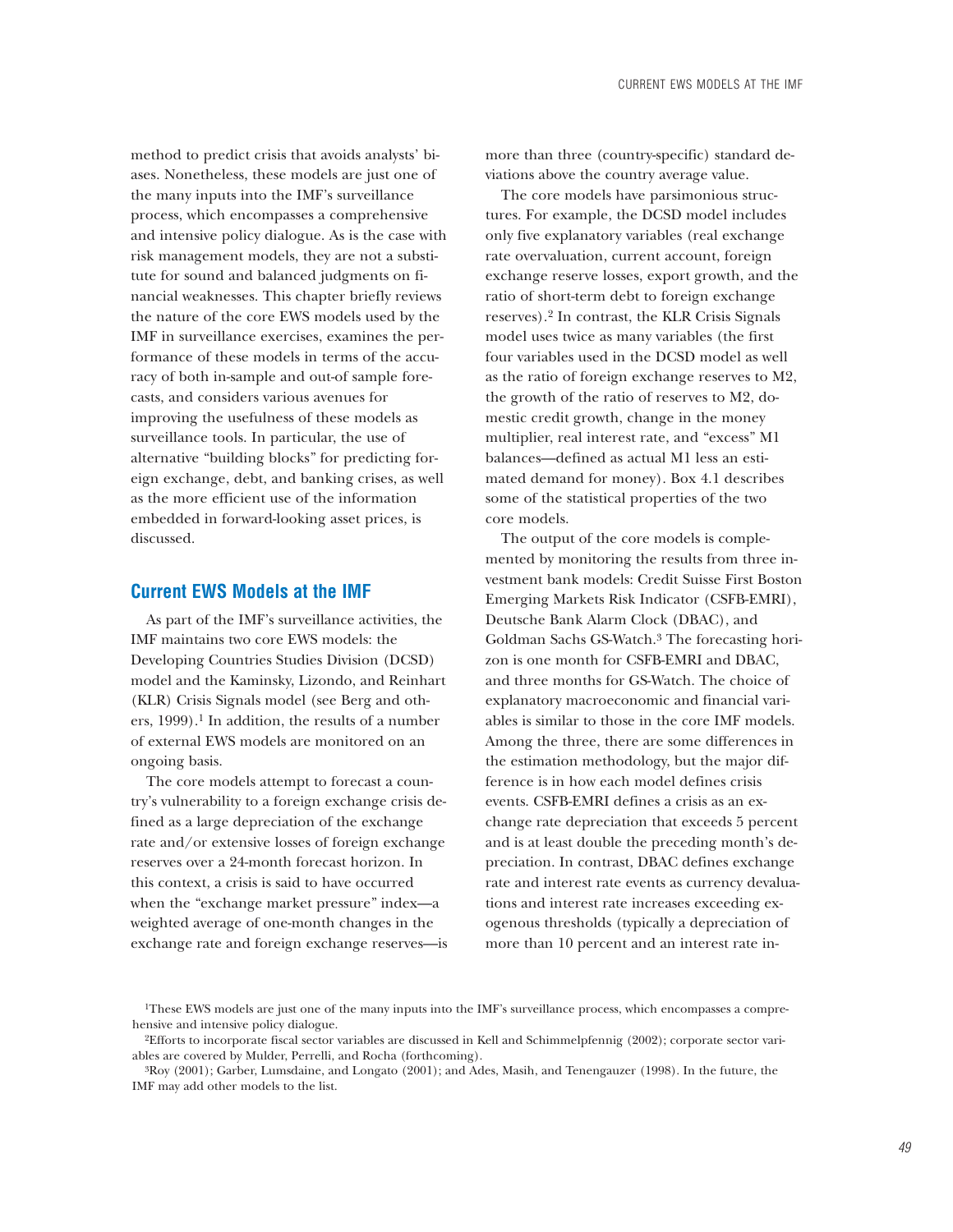method to predict crisis that avoids analysts' biases. Nonetheless, these models are just one of the many inputs into the IMF's surveillance process, which encompasses a comprehensive and intensive policy dialogue. As is the case with risk management models, they are not a substitute for sound and balanced judgments on financial weaknesses. This chapter briefly reviews the nature of the core EWS models used by the IMF in surveillance exercises, examines the performance of these models in terms of the accuracy of both in-sample and out-of sample forecasts, and considers various avenues for improving the usefulness of these models as surveillance tools. In particular, the use of alternative "building blocks" for predicting foreign exchange, debt, and banking crises, as well as the more efficient use of the information embedded in forward-looking asset prices, is discussed.

## **Current EWS Models at the IMF**

As part of the IMF's surveillance activities, the IMF maintains two core EWS models: the Developing Countries Studies Division (DCSD) model and the Kaminsky, Lizondo, and Reinhart (KLR) Crisis Signals model (see Berg and others, 1999).1 In addition, the results of a number of external EWS models are monitored on an ongoing basis.

The core models attempt to forecast a country's vulnerability to a foreign exchange crisis defined as a large depreciation of the exchange rate and/or extensive losses of foreign exchange reserves over a 24-month forecast horizon. In this context, a crisis is said to have occurred when the "exchange market pressure" index—a weighted average of one-month changes in the exchange rate and foreign exchange reserves—is

more than three (country-specific) standard deviations above the country average value.

The core models have parsimonious structures. For example, the DCSD model includes only five explanatory variables (real exchange rate overvaluation, current account, foreign exchange reserve losses, export growth, and the ratio of short-term debt to foreign exchange reserves).2 In contrast, the KLR Crisis Signals model uses twice as many variables (the first four variables used in the DCSD model as well as the ratio of foreign exchange reserves to M2, the growth of the ratio of reserves to M2, domestic credit growth, change in the money multiplier, real interest rate, and "excess" M1 balances—defined as actual M1 less an estimated demand for money). Box 4.1 describes some of the statistical properties of the two core models.

The output of the core models is complemented by monitoring the results from three investment bank models: Credit Suisse First Boston Emerging Markets Risk Indicator (CSFB-EMRI), Deutsche Bank Alarm Clock (DBAC), and Goldman Sachs GS-Watch.3 The forecasting horizon is one month for CSFB-EMRI and DBAC, and three months for GS-Watch. The choice of explanatory macroeconomic and financial variables is similar to those in the core IMF models. Among the three, there are some differences in the estimation methodology, but the major difference is in how each model defines crisis events. CSFB-EMRI defines a crisis as an exchange rate depreciation that exceeds 5 percent and is at least double the preceding month's depreciation. In contrast, DBAC defines exchange rate and interest rate events as currency devaluations and interest rate increases exceeding exogenous thresholds (typically a depreciation of more than 10 percent and an interest rate in-

<sup>1</sup>These EWS models are just one of the many inputs into the IMF's surveillance process, which encompasses a comprehensive and intensive policy dialogue.

<sup>2</sup>Efforts to incorporate fiscal sector variables are discussed in Kell and Schimmelpfennig (2002); corporate sector variables are covered by Mulder, Perrelli, and Rocha (forthcoming).

<sup>3</sup>Roy (2001); Garber, Lumsdaine, and Longato (2001); and Ades, Masih, and Tenengauzer (1998). In the future, the IMF may add other models to the list.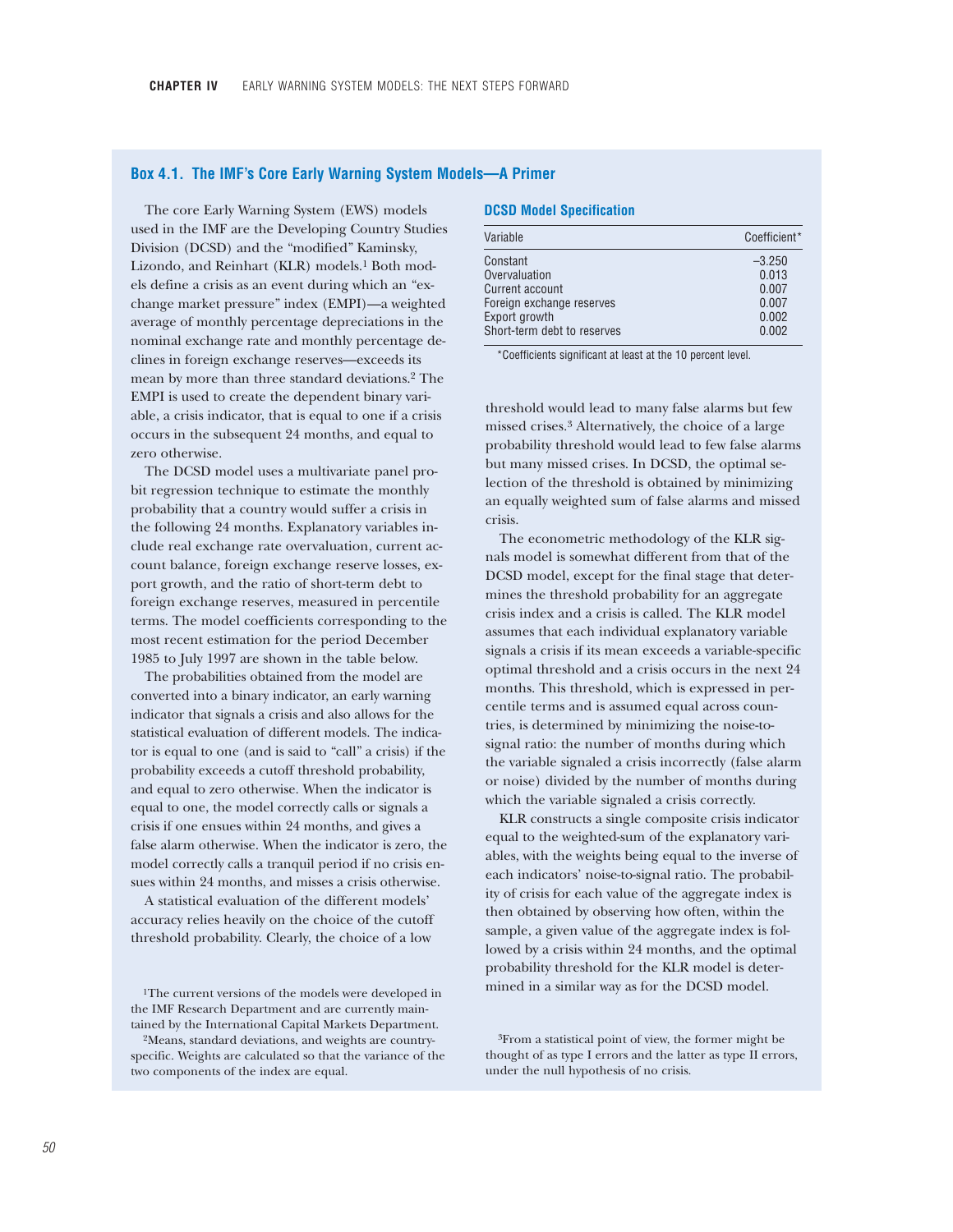#### **Box 4.1. The IMF's Core Early Warning System Models—A Primer**

The core Early Warning System (EWS) models used in the IMF are the Developing Country Studies Division (DCSD) and the "modified" Kaminsky, Lizondo, and Reinhart (KLR) models.<sup>1</sup> Both models define a crisis as an event during which an "exchange market pressure" index (EMPI)—a weighted average of monthly percentage depreciations in the nominal exchange rate and monthly percentage declines in foreign exchange reserves—exceeds its mean by more than three standard deviations.2 The EMPI is used to create the dependent binary variable, a crisis indicator, that is equal to one if a crisis occurs in the subsequent 24 months, and equal to zero otherwise.

The DCSD model uses a multivariate panel probit regression technique to estimate the monthly probability that a country would suffer a crisis in the following 24 months. Explanatory variables include real exchange rate overvaluation, current account balance, foreign exchange reserve losses, export growth, and the ratio of short-term debt to foreign exchange reserves, measured in percentile terms. The model coefficients corresponding to the most recent estimation for the period December 1985 to July 1997 are shown in the table below.

The probabilities obtained from the model are converted into a binary indicator, an early warning indicator that signals a crisis and also allows for the statistical evaluation of different models. The indicator is equal to one (and is said to "call" a crisis) if the probability exceeds a cutoff threshold probability, and equal to zero otherwise. When the indicator is equal to one, the model correctly calls or signals a crisis if one ensues within 24 months, and gives a false alarm otherwise. When the indicator is zero, the model correctly calls a tranquil period if no crisis ensues within 24 months, and misses a crisis otherwise.

A statistical evaluation of the different models' accuracy relies heavily on the choice of the cutoff threshold probability. Clearly, the choice of a low

#### **DCSD Model Specification**

| Variable                    | Coefficient* |
|-----------------------------|--------------|
| Constant                    | $-3.250$     |
| Overvaluation               | 0.013        |
| Current account             | 0.007        |
| Foreign exchange reserves   | 0.007        |
| Export growth               | 0.002        |
| Short-term debt to reserves | 0.002        |
|                             |              |

\*Coefficients significant at least at the 10 percent level.

threshold would lead to many false alarms but few missed crises.3 Alternatively, the choice of a large probability threshold would lead to few false alarms but many missed crises. In DCSD, the optimal selection of the threshold is obtained by minimizing an equally weighted sum of false alarms and missed crisis.

The econometric methodology of the KLR signals model is somewhat different from that of the DCSD model, except for the final stage that determines the threshold probability for an aggregate crisis index and a crisis is called. The KLR model assumes that each individual explanatory variable signals a crisis if its mean exceeds a variable-specific optimal threshold and a crisis occurs in the next 24 months. This threshold, which is expressed in percentile terms and is assumed equal across countries, is determined by minimizing the noise-tosignal ratio: the number of months during which the variable signaled a crisis incorrectly (false alarm or noise) divided by the number of months during which the variable signaled a crisis correctly.

KLR constructs a single composite crisis indicator equal to the weighted-sum of the explanatory variables, with the weights being equal to the inverse of each indicators' noise-to-signal ratio. The probability of crisis for each value of the aggregate index is then obtained by observing how often, within the sample, a given value of the aggregate index is followed by a crisis within 24 months, and the optimal probability threshold for the KLR model is determined in a similar way as for the DCSD model.

<sup>&</sup>lt;sup>1</sup>The current versions of the models were developed in the IMF Research Department and are currently maintained by the International Capital Markets Department. 2Means, standard deviations, and weights are countryspecific. Weights are calculated so that the variance of the two components of the index are equal.

<sup>3</sup>From a statistical point of view, the former might be thought of as type I errors and the latter as type II errors, under the null hypothesis of no crisis.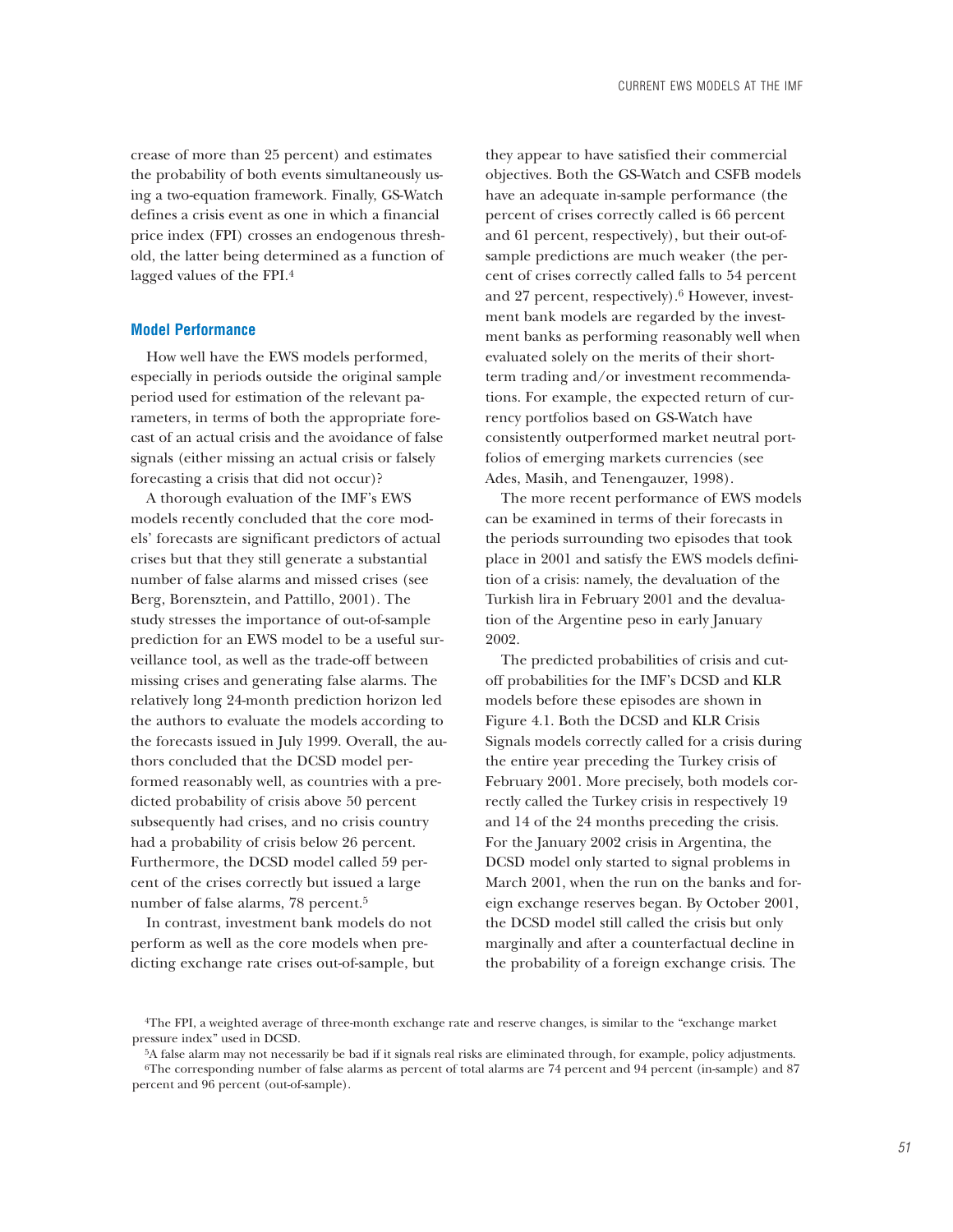crease of more than 25 percent) and estimates the probability of both events simultaneously using a two-equation framework. Finally, GS-Watch defines a crisis event as one in which a financial price index (FPI) crosses an endogenous threshold, the latter being determined as a function of lagged values of the FPI.4

### **Model Performance**

How well have the EWS models performed, especially in periods outside the original sample period used for estimation of the relevant parameters, in terms of both the appropriate forecast of an actual crisis and the avoidance of false signals (either missing an actual crisis or falsely forecasting a crisis that did not occur)?

A thorough evaluation of the IMF's EWS models recently concluded that the core models' forecasts are significant predictors of actual crises but that they still generate a substantial number of false alarms and missed crises (see Berg, Borensztein, and Pattillo, 2001). The study stresses the importance of out-of-sample prediction for an EWS model to be a useful surveillance tool, as well as the trade-off between missing crises and generating false alarms. The relatively long 24-month prediction horizon led the authors to evaluate the models according to the forecasts issued in July 1999. Overall, the authors concluded that the DCSD model performed reasonably well, as countries with a predicted probability of crisis above 50 percent subsequently had crises, and no crisis country had a probability of crisis below 26 percent. Furthermore, the DCSD model called 59 percent of the crises correctly but issued a large number of false alarms, 78 percent.5

In contrast, investment bank models do not perform as well as the core models when predicting exchange rate crises out-of-sample, but

they appear to have satisfied their commercial objectives. Both the GS-Watch and CSFB models have an adequate in-sample performance (the percent of crises correctly called is 66 percent and 61 percent, respectively), but their out-ofsample predictions are much weaker (the percent of crises correctly called falls to 54 percent and 27 percent, respectively).6 However, investment bank models are regarded by the investment banks as performing reasonably well when evaluated solely on the merits of their shortterm trading and/or investment recommendations. For example, the expected return of currency portfolios based on GS-Watch have consistently outperformed market neutral portfolios of emerging markets currencies (see Ades, Masih, and Tenengauzer, 1998).

The more recent performance of EWS models can be examined in terms of their forecasts in the periods surrounding two episodes that took place in 2001 and satisfy the EWS models definition of a crisis: namely, the devaluation of the Turkish lira in February 2001 and the devaluation of the Argentine peso in early January 2002.

The predicted probabilities of crisis and cutoff probabilities for the IMF's DCSD and KLR models before these episodes are shown in Figure 4.1. Both the DCSD and KLR Crisis Signals models correctly called for a crisis during the entire year preceding the Turkey crisis of February 2001. More precisely, both models correctly called the Turkey crisis in respectively 19 and 14 of the 24 months preceding the crisis. For the January 2002 crisis in Argentina, the DCSD model only started to signal problems in March 2001, when the run on the banks and foreign exchange reserves began. By October 2001, the DCSD model still called the crisis but only marginally and after a counterfactual decline in the probability of a foreign exchange crisis. The

<sup>4</sup>The FPI, a weighted average of three-month exchange rate and reserve changes, is similar to the "exchange market pressure index" used in DCSD.

<sup>5</sup>A false alarm may not necessarily be bad if it signals real risks are eliminated through, for example, policy adjustments. 6The corresponding number of false alarms as percent of total alarms are 74 percent and 94 percent (in-sample) and 87

percent and 96 percent (out-of-sample).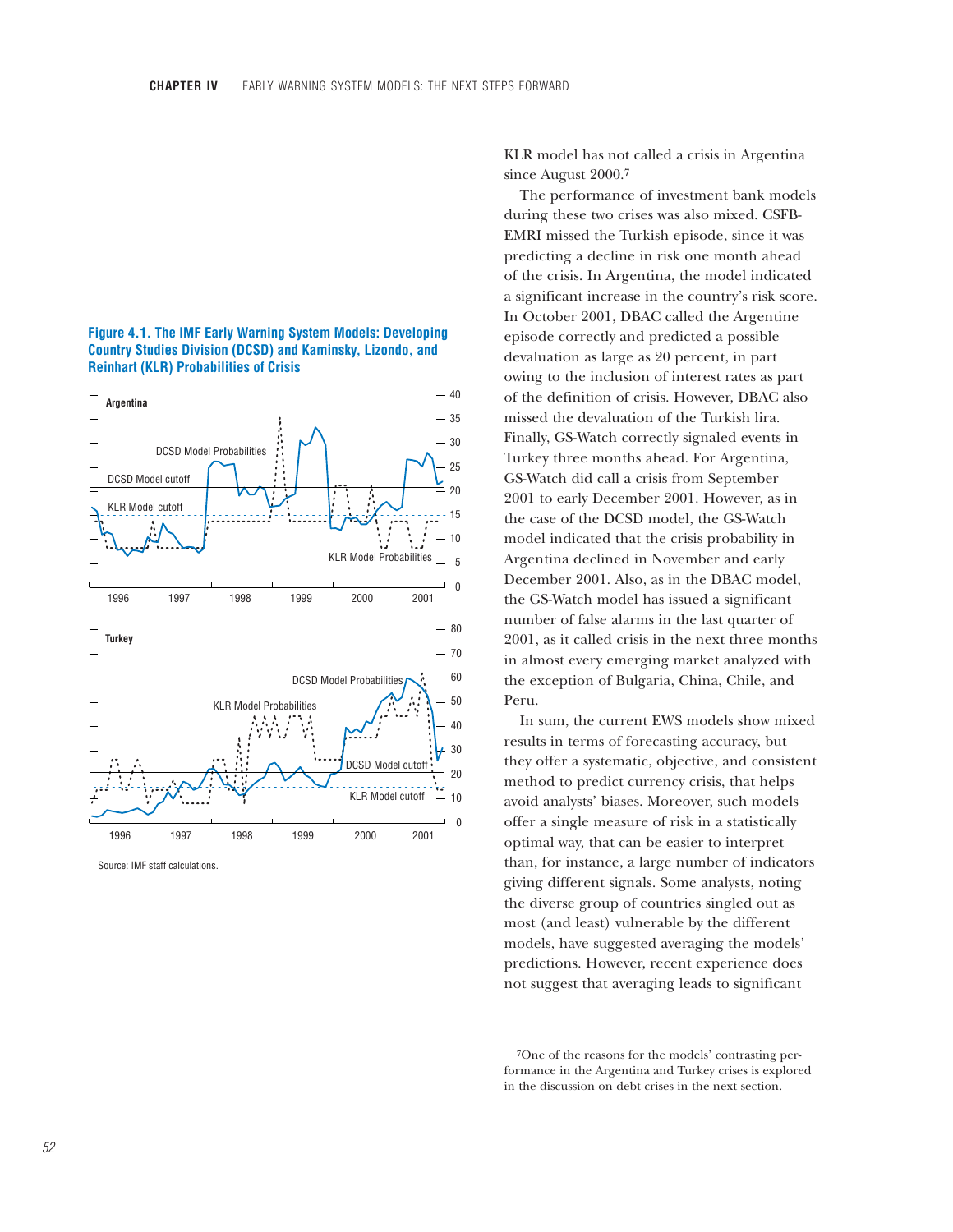



Source: IMF staff calculations.

KLR model has not called a crisis in Argentina since August 2000.7

The performance of investment bank models during these two crises was also mixed. CSFB-EMRI missed the Turkish episode, since it was predicting a decline in risk one month ahead of the crisis. In Argentina, the model indicated a significant increase in the country's risk score. In October 2001, DBAC called the Argentine episode correctly and predicted a possible devaluation as large as 20 percent, in part owing to the inclusion of interest rates as part of the definition of crisis. However, DBAC also missed the devaluation of the Turkish lira. Finally, GS-Watch correctly signaled events in Turkey three months ahead. For Argentina, GS-Watch did call a crisis from September 2001 to early December 2001. However, as in the case of the DCSD model, the GS-Watch model indicated that the crisis probability in Argentina declined in November and early December 2001. Also, as in the DBAC model, the GS-Watch model has issued a significant number of false alarms in the last quarter of 2001, as it called crisis in the next three months in almost every emerging market analyzed with the exception of Bulgaria, China, Chile, and Peru.

In sum, the current EWS models show mixed results in terms of forecasting accuracy, but they offer a systematic, objective, and consistent method to predict currency crisis, that helps avoid analysts' biases. Moreover, such models offer a single measure of risk in a statistically optimal way, that can be easier to interpret than, for instance, a large number of indicators giving different signals. Some analysts, noting the diverse group of countries singled out as most (and least) vulnerable by the different models, have suggested averaging the models' predictions. However, recent experience does not suggest that averaging leads to significant

<sup>7</sup>One of the reasons for the models' contrasting performance in the Argentina and Turkey crises is explored in the discussion on debt crises in the next section.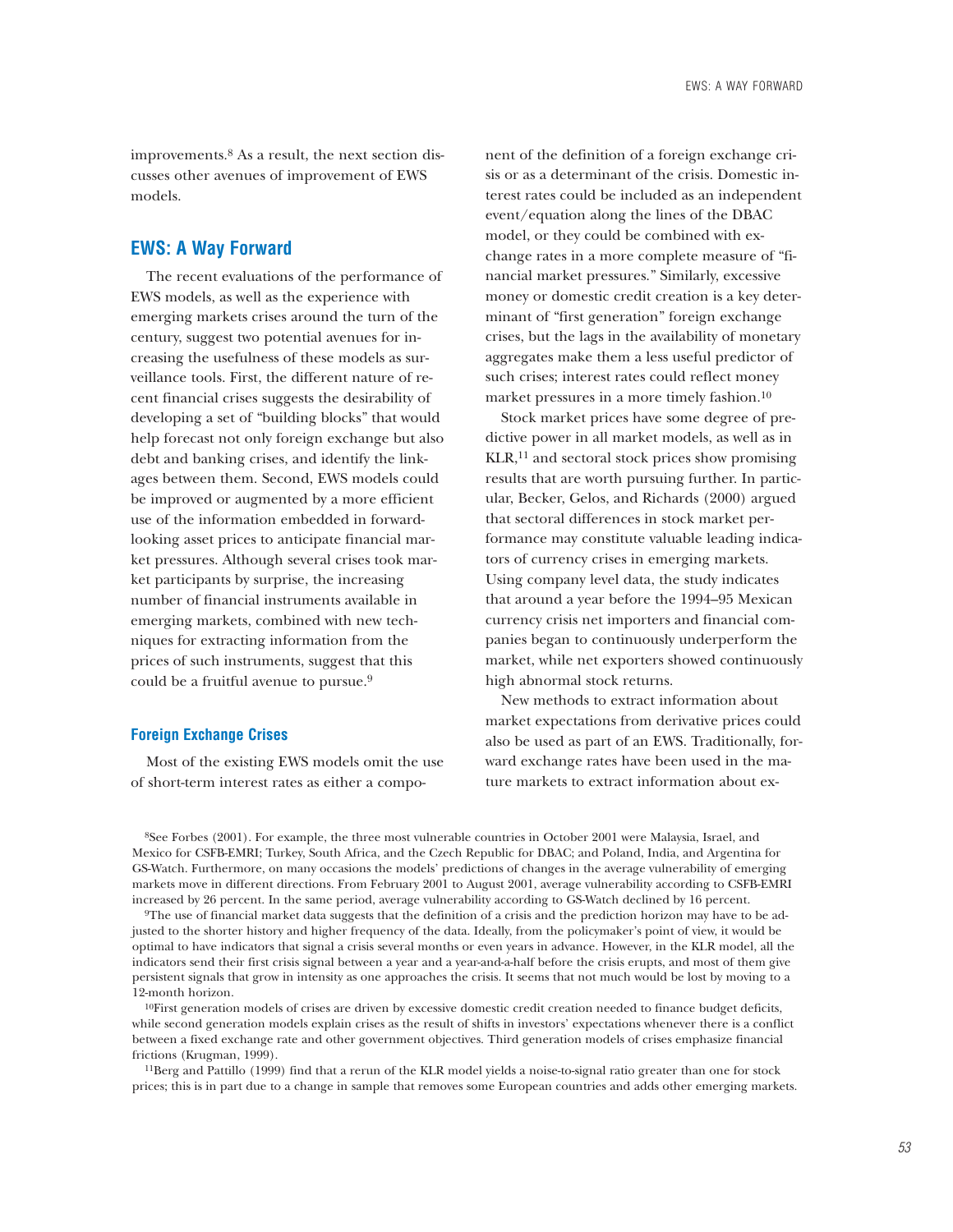improvements.8 As a result, the next section discusses other avenues of improvement of EWS models.

## **EWS: A Way Forward**

The recent evaluations of the performance of EWS models, as well as the experience with emerging markets crises around the turn of the century, suggest two potential avenues for increasing the usefulness of these models as surveillance tools. First, the different nature of recent financial crises suggests the desirability of developing a set of "building blocks" that would help forecast not only foreign exchange but also debt and banking crises, and identify the linkages between them. Second, EWS models could be improved or augmented by a more efficient use of the information embedded in forwardlooking asset prices to anticipate financial market pressures. Although several crises took market participants by surprise, the increasing number of financial instruments available in emerging markets, combined with new techniques for extracting information from the prices of such instruments, suggest that this could be a fruitful avenue to pursue.9

## **Foreign Exchange Crises**

Most of the existing EWS models omit the use of short-term interest rates as either a component of the definition of a foreign exchange crisis or as a determinant of the crisis. Domestic interest rates could be included as an independent event/equation along the lines of the DBAC model, or they could be combined with exchange rates in a more complete measure of "financial market pressures." Similarly, excessive money or domestic credit creation is a key determinant of "first generation" foreign exchange crises, but the lags in the availability of monetary aggregates make them a less useful predictor of such crises; interest rates could reflect money market pressures in a more timely fashion.10

Stock market prices have some degree of predictive power in all market models, as well as in KLR,11 and sectoral stock prices show promising results that are worth pursuing further. In particular, Becker, Gelos, and Richards (2000) argued that sectoral differences in stock market performance may constitute valuable leading indicators of currency crises in emerging markets. Using company level data, the study indicates that around a year before the 1994–95 Mexican currency crisis net importers and financial companies began to continuously underperform the market, while net exporters showed continuously high abnormal stock returns.

New methods to extract information about market expectations from derivative prices could also be used as part of an EWS. Traditionally, forward exchange rates have been used in the mature markets to extract information about ex-

8See Forbes (2001). For example, the three most vulnerable countries in October 2001 were Malaysia, Israel, and Mexico for CSFB-EMRI; Turkey, South Africa, and the Czech Republic for DBAC; and Poland, India, and Argentina for GS-Watch. Furthermore, on many occasions the models' predictions of changes in the average vulnerability of emerging markets move in different directions. From February 2001 to August 2001, average vulnerability according to CSFB-EMRI increased by 26 percent. In the same period, average vulnerability according to GS-Watch declined by 16 percent.

9The use of financial market data suggests that the definition of a crisis and the prediction horizon may have to be adjusted to the shorter history and higher frequency of the data. Ideally, from the policymaker's point of view, it would be optimal to have indicators that signal a crisis several months or even years in advance. However, in the KLR model, all the indicators send their first crisis signal between a year and a year-and-a-half before the crisis erupts, and most of them give persistent signals that grow in intensity as one approaches the crisis. It seems that not much would be lost by moving to a 12-month horizon.

 $10$ First generation models of crises are driven by excessive domestic credit creation needed to finance budget deficits, while second generation models explain crises as the result of shifts in investors' expectations whenever there is a conflict between a fixed exchange rate and other government objectives. Third generation models of crises emphasize financial frictions (Krugman, 1999).

<sup>11</sup>Berg and Pattillo (1999) find that a rerun of the KLR model yields a noise-to-signal ratio greater than one for stock prices; this is in part due to a change in sample that removes some European countries and adds other emerging markets.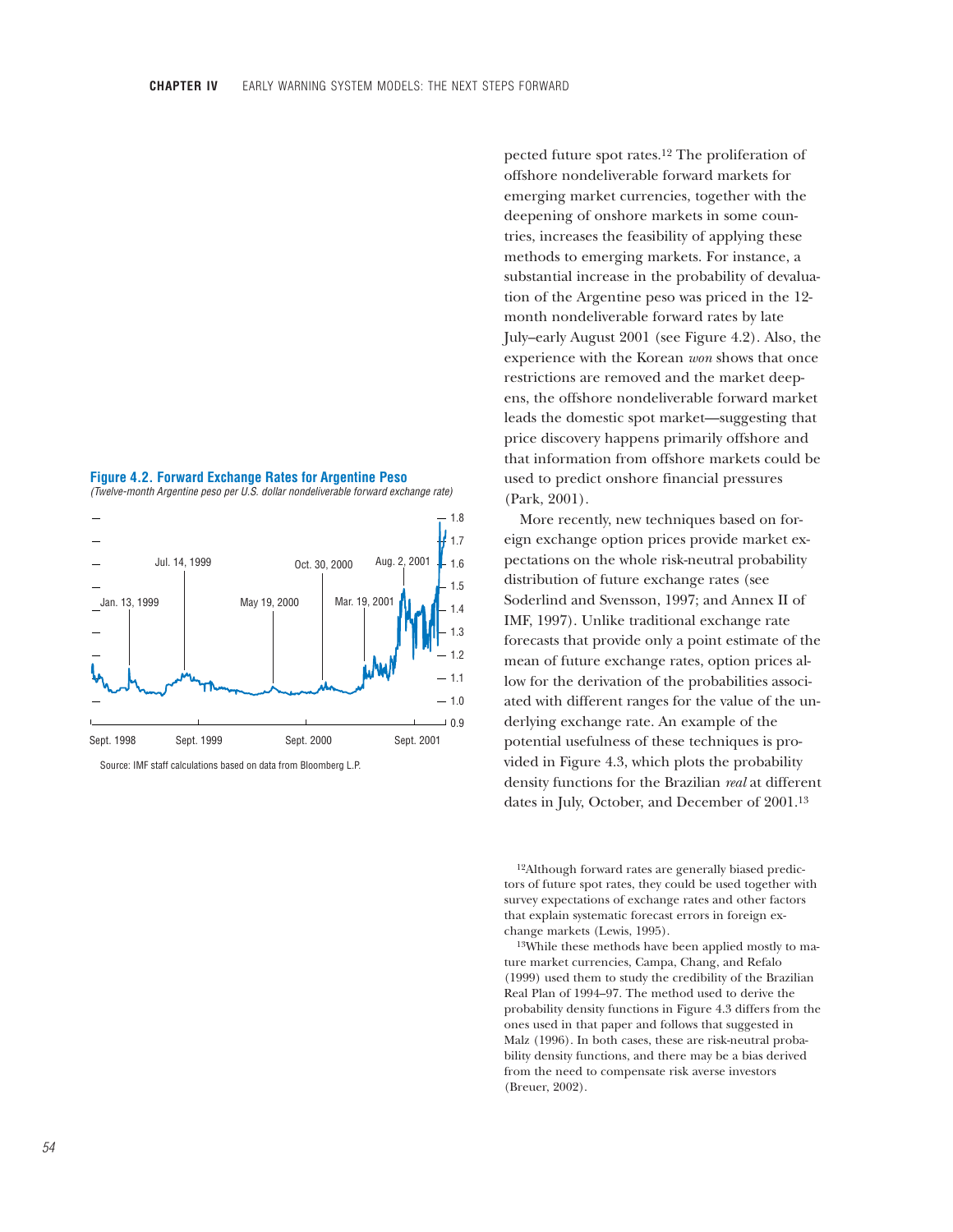



Source: IMF staff calculations based on data from Bloomberg L.P.

pected future spot rates.12 The proliferation of offshore nondeliverable forward markets for emerging market currencies, together with the deepening of onshore markets in some countries, increases the feasibility of applying these methods to emerging markets. For instance, a substantial increase in the probability of devaluation of the Argentine peso was priced in the 12 month nondeliverable forward rates by late July–early August 2001 (see Figure 4.2). Also, the experience with the Korean *won* shows that once restrictions are removed and the market deepens, the offshore nondeliverable forward market leads the domestic spot market—suggesting that price discovery happens primarily offshore and that information from offshore markets could be used to predict onshore financial pressures (Park, 2001).

More recently, new techniques based on foreign exchange option prices provide market expectations on the whole risk-neutral probability distribution of future exchange rates (see Soderlind and Svensson, 1997; and Annex II of IMF, 1997). Unlike traditional exchange rate forecasts that provide only a point estimate of the mean of future exchange rates, option prices allow for the derivation of the probabilities associated with different ranges for the value of the underlying exchange rate. An example of the potential usefulness of these techniques is provided in Figure 4.3, which plots the probability density functions for the Brazilian *real* at different dates in July, October, and December of 2001.13

12Although forward rates are generally biased predictors of future spot rates, they could be used together with survey expectations of exchange rates and other factors that explain systematic forecast errors in foreign exchange markets (Lewis, 1995).

13While these methods have been applied mostly to mature market currencies, Campa, Chang, and Refalo (1999) used them to study the credibility of the Brazilian Real Plan of 1994–97. The method used to derive the probability density functions in Figure 4.3 differs from the ones used in that paper and follows that suggested in Malz (1996). In both cases, these are risk-neutral probability density functions, and there may be a bias derived from the need to compensate risk averse investors (Breuer, 2002).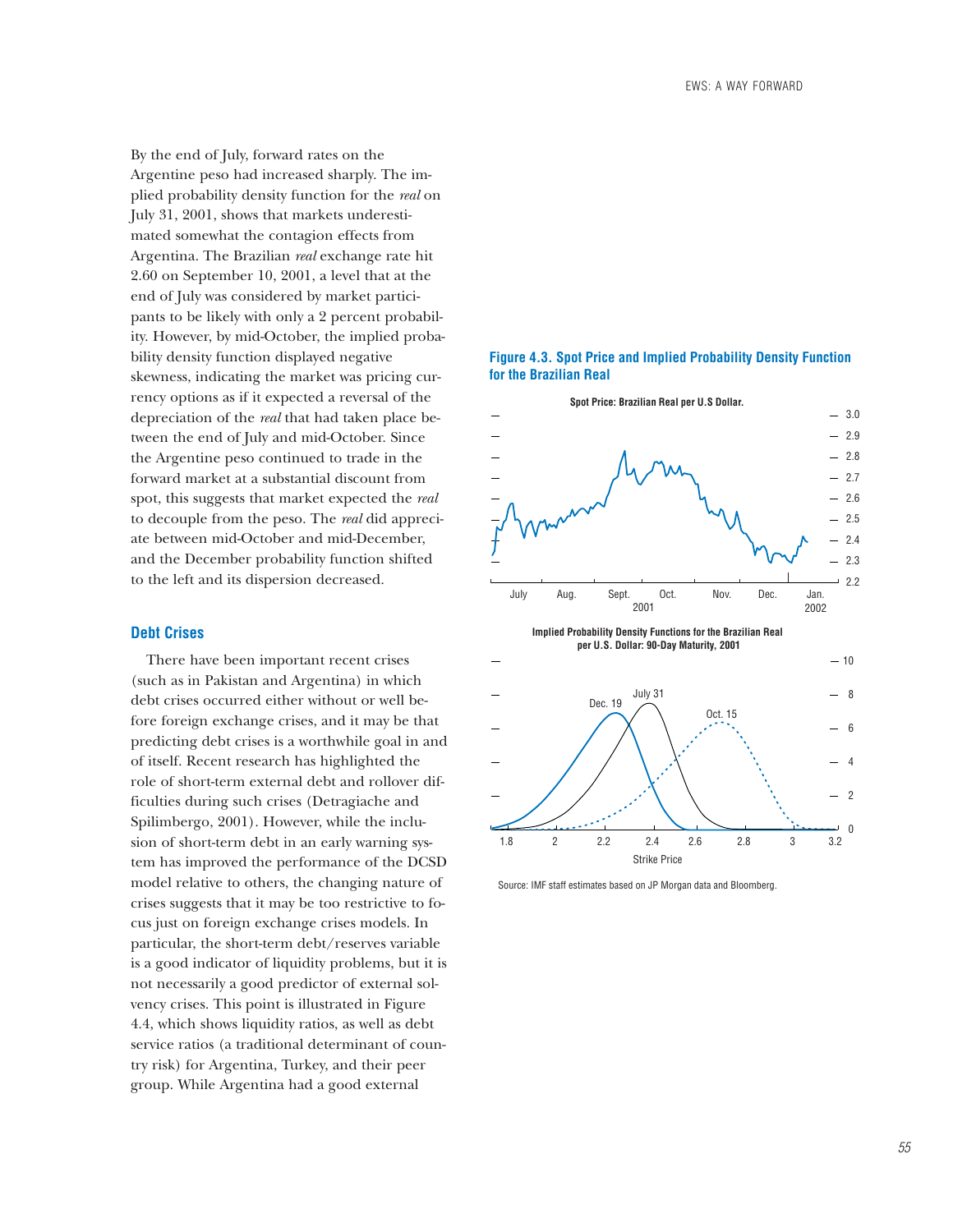By the end of July, forward rates on the Argentine peso had increased sharply. The implied probability density function for the *real* on July 31, 2001, shows that markets underestimated somewhat the contagion effects from Argentina. The Brazilian *real* exchange rate hit 2.60 on September 10, 2001, a level that at the end of July was considered by market participants to be likely with only a 2 percent probability. However, by mid-October, the implied probability density function displayed negative skewness, indicating the market was pricing currency options as if it expected a reversal of the depreciation of the *real* that had taken place between the end of July and mid-October. Since the Argentine peso continued to trade in the forward market at a substantial discount from spot, this suggests that market expected the *real* to decouple from the peso. The *real* did appreciate between mid-October and mid-December, and the December probability function shifted to the left and its dispersion decreased.

### **Debt Crises**

There have been important recent crises (such as in Pakistan and Argentina) in which debt crises occurred either without or well before foreign exchange crises, and it may be that predicting debt crises is a worthwhile goal in and of itself. Recent research has highlighted the role of short-term external debt and rollover difficulties during such crises (Detragiache and Spilimbergo, 2001). However, while the inclusion of short-term debt in an early warning system has improved the performance of the DCSD model relative to others, the changing nature of crises suggests that it may be too restrictive to focus just on foreign exchange crises models. In particular, the short-term debt/reserves variable is a good indicator of liquidity problems, but it is not necessarily a good predictor of external solvency crises. This point is illustrated in Figure 4.4, which shows liquidity ratios, as well as debt service ratios (a traditional determinant of country risk) for Argentina, Turkey, and their peer group. While Argentina had a good external



Source: IMF staff estimates based on JP Morgan data and Bloomberg.

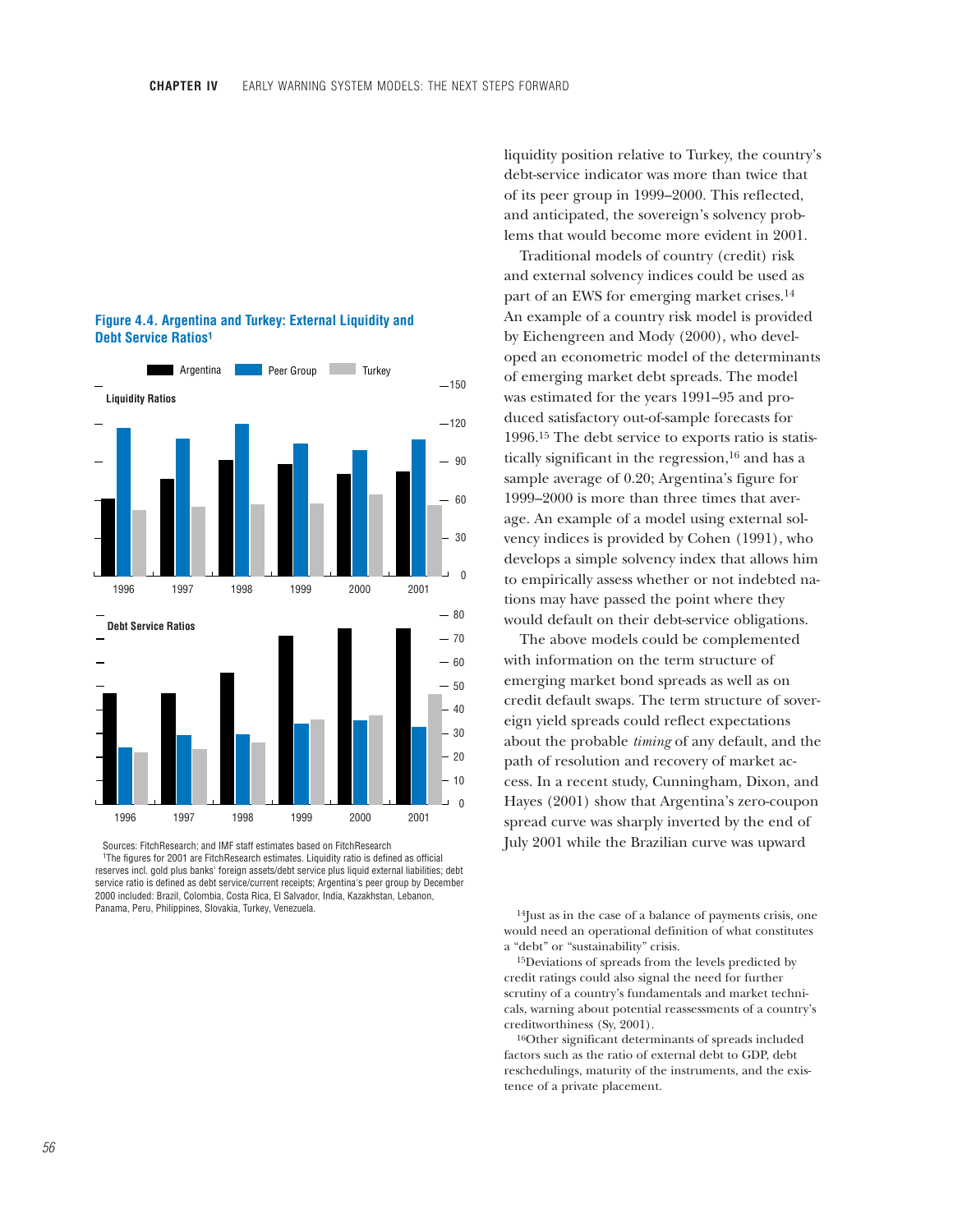

#### **Figure 4.4. Argentina and Turkey: External Liquidity and Debt Service Ratios1**

 1The figures for 2001 are FitchResearch estimates. Liquidity ratio is defined as official reserves incl. gold plus banks' foreign assets/debt service plus liquid external liabilities; debt service ratio is defined as debt service/current receipts; Argentina's peer group by December 2000 included: Brazil, Colombia, Costa Rica, El Salvador, India, Kazakhstan, Lebanon, Panama, Peru, Philippines, Slovakia, Turkey, Venezuela.

liquidity position relative to Turkey, the country's debt-service indicator was more than twice that of its peer group in 1999–2000. This reflected, and anticipated, the sovereign's solvency problems that would become more evident in 2001.

Traditional models of country (credit) risk and external solvency indices could be used as part of an EWS for emerging market crises.14 An example of a country risk model is provided by Eichengreen and Mody (2000), who developed an econometric model of the determinants of emerging market debt spreads. The model was estimated for the years 1991–95 and produced satisfactory out-of-sample forecasts for 1996.15 The debt service to exports ratio is statistically significant in the regression, $16$  and has a sample average of 0.20; Argentina's figure for 1999–2000 is more than three times that average. An example of a model using external solvency indices is provided by Cohen (1991), who develops a simple solvency index that allows him to empirically assess whether or not indebted nations may have passed the point where they would default on their debt-service obligations.

The above models could be complemented with information on the term structure of emerging market bond spreads as well as on credit default swaps. The term structure of sovereign yield spreads could reflect expectations about the probable *timing* of any default, and the path of resolution and recovery of market access. In a recent study, Cunningham, Dixon, and Hayes (2001) show that Argentina's zero-coupon spread curve was sharply inverted by the end of July 2001 while the Brazilian curve was upward

14Just as in the case of a balance of payments crisis, one would need an operational definition of what constitutes a "debt" or "sustainability" crisis.

15Deviations of spreads from the levels predicted by credit ratings could also signal the need for further scrutiny of a country's fundamentals and market technicals, warning about potential reassessments of a country's creditworthiness (Sy, 2001).

16Other significant determinants of spreads included factors such as the ratio of external debt to GDP, debt reschedulings, maturity of the instruments, and the existence of a private placement.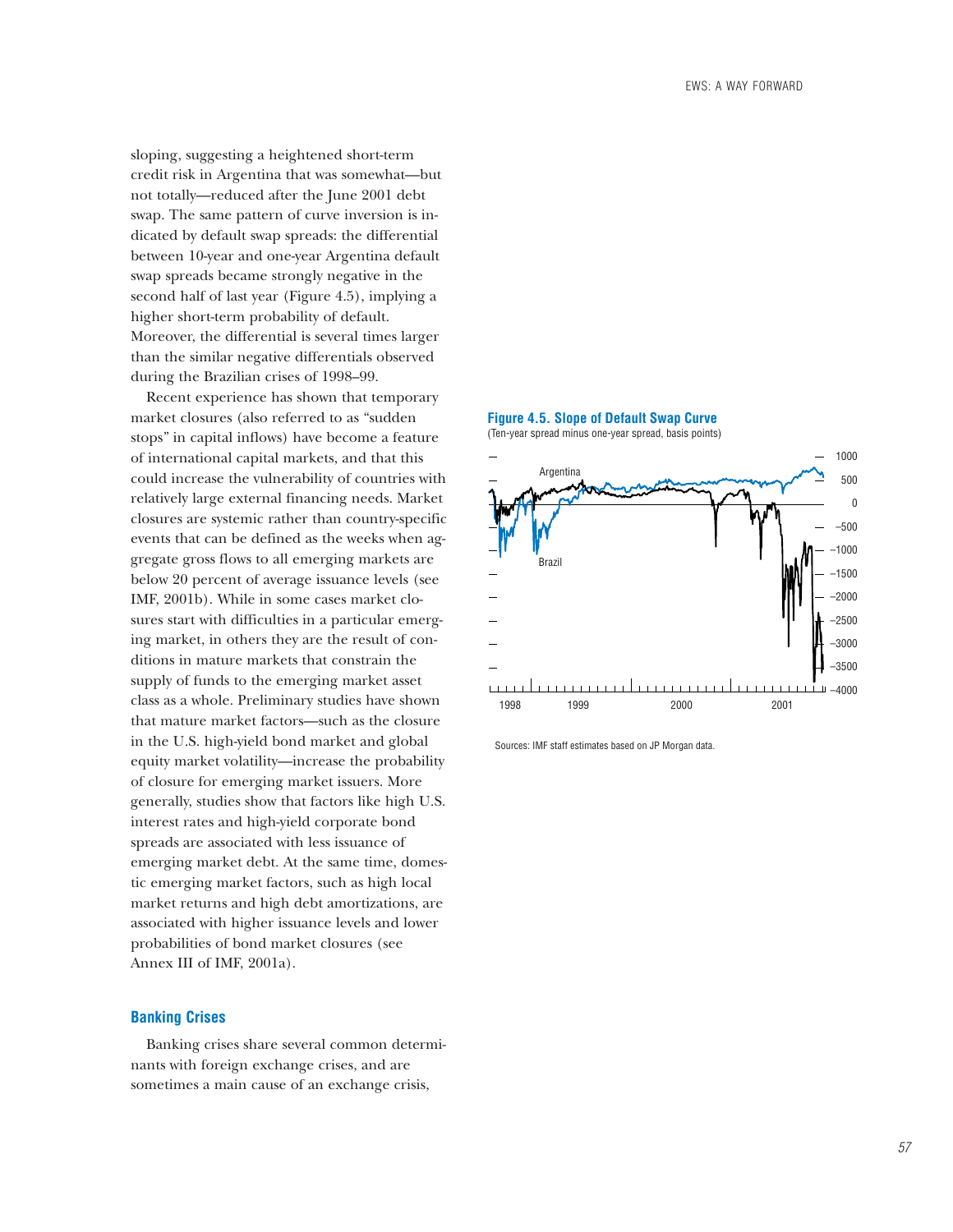sloping, suggesting a heightened short-term credit risk in Argentina that was somewhat—but not totally—reduced after the June 2001 debt swap. The same pattern of curve inversion is indicated by default swap spreads: the differential between 10-year and one-year Argentina default swap spreads became strongly negative in the second half of last year (Figure 4.5), implying a higher short-term probability of default. Moreover, the differential is several times larger than the similar negative differentials observed during the Brazilian crises of 1998–99.

Recent experience has shown that temporary market closures (also referred to as "sudden stops" in capital inflows) have become a feature of international capital markets, and that this could increase the vulnerability of countries with relatively large external financing needs. Market closures are systemic rather than country-specific events that can be defined as the weeks when aggregate gross flows to all emerging markets are below 20 percent of average issuance levels (see IMF, 2001b). While in some cases market closures start with difficulties in a particular emerging market, in others they are the result of conditions in mature markets that constrain the supply of funds to the emerging market asset class as a whole. Preliminary studies have shown that mature market factors—such as the closure in the U.S. high-yield bond market and global equity market volatility—increase the probability of closure for emerging market issuers. More generally, studies show that factors like high U.S. interest rates and high-yield corporate bond spreads are associated with less issuance of emerging market debt. At the same time, domestic emerging market factors, such as high local market returns and high debt amortizations, are associated with higher issuance levels and lower probabilities of bond market closures (see Annex III of IMF, 2001a).

## **Banking Crises**

Banking crises share several common determinants with foreign exchange crises, and are sometimes a main cause of an exchange crisis,







Sources: IMF staff estimates based on JP Morgan data.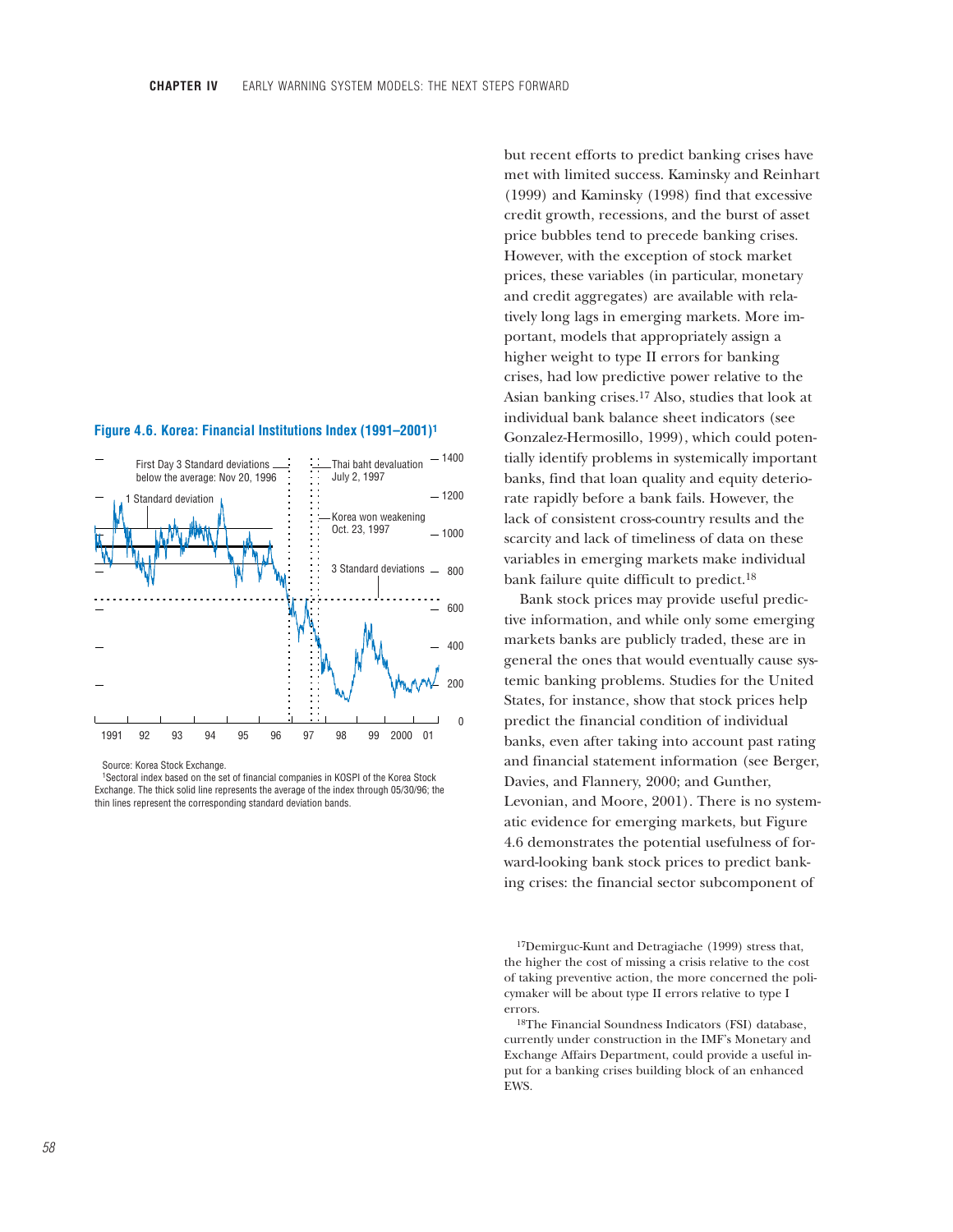



Source: Korea Stock Exchange.

 1Sectoral index based on the set of financial companies in KOSPI of the Korea Stock Exchange. The thick solid line represents the average of the index through 05/30/96; the thin lines represent the corresponding standard deviation bands.

but recent efforts to predict banking crises have met with limited success. Kaminsky and Reinhart (1999) and Kaminsky (1998) find that excessive credit growth, recessions, and the burst of asset price bubbles tend to precede banking crises. However, with the exception of stock market prices, these variables (in particular, monetary and credit aggregates) are available with relatively long lags in emerging markets. More important, models that appropriately assign a higher weight to type II errors for banking crises, had low predictive power relative to the Asian banking crises.17 Also, studies that look at individual bank balance sheet indicators (see Gonzalez-Hermosillo, 1999), which could potentially identify problems in systemically important banks, find that loan quality and equity deteriorate rapidly before a bank fails. However, the lack of consistent cross-country results and the scarcity and lack of timeliness of data on these variables in emerging markets make individual bank failure quite difficult to predict.18

Bank stock prices may provide useful predictive information, and while only some emerging markets banks are publicly traded, these are in general the ones that would eventually cause systemic banking problems. Studies for the United States, for instance, show that stock prices help predict the financial condition of individual banks, even after taking into account past rating and financial statement information (see Berger, Davies, and Flannery, 2000; and Gunther, Levonian, and Moore, 2001). There is no systematic evidence for emerging markets, but Figure 4.6 demonstrates the potential usefulness of forward-looking bank stock prices to predict banking crises: the financial sector subcomponent of

17Demirguc-Kunt and Detragiache (1999) stress that, the higher the cost of missing a crisis relative to the cost of taking preventive action, the more concerned the policymaker will be about type II errors relative to type I errors.

18The Financial Soundness Indicators (FSI) database, currently under construction in the IMF's Monetary and Exchange Affairs Department, could provide a useful input for a banking crises building block of an enhanced EWS.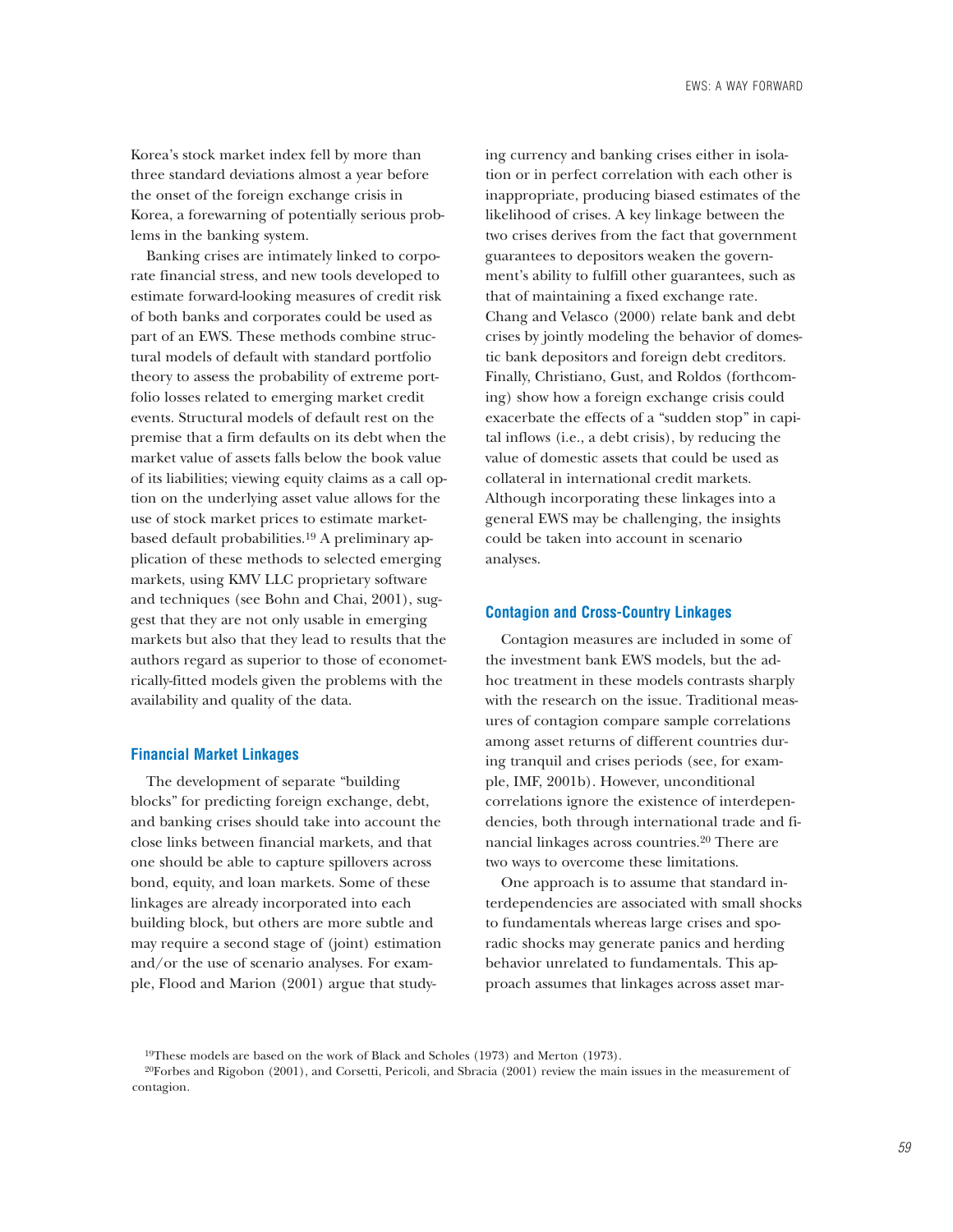Korea's stock market index fell by more than three standard deviations almost a year before the onset of the foreign exchange crisis in Korea, a forewarning of potentially serious problems in the banking system.

Banking crises are intimately linked to corporate financial stress, and new tools developed to estimate forward-looking measures of credit risk of both banks and corporates could be used as part of an EWS. These methods combine structural models of default with standard portfolio theory to assess the probability of extreme portfolio losses related to emerging market credit events. Structural models of default rest on the premise that a firm defaults on its debt when the market value of assets falls below the book value of its liabilities; viewing equity claims as a call option on the underlying asset value allows for the use of stock market prices to estimate marketbased default probabilities.19 A preliminary application of these methods to selected emerging markets, using KMV LLC proprietary software and techniques (see Bohn and Chai, 2001), suggest that they are not only usable in emerging markets but also that they lead to results that the authors regard as superior to those of econometrically-fitted models given the problems with the availability and quality of the data.

#### **Financial Market Linkages**

The development of separate "building blocks" for predicting foreign exchange, debt, and banking crises should take into account the close links between financial markets, and that one should be able to capture spillovers across bond, equity, and loan markets. Some of these linkages are already incorporated into each building block, but others are more subtle and may require a second stage of (joint) estimation and/or the use of scenario analyses. For example, Flood and Marion (2001) argue that study-

ing currency and banking crises either in isolation or in perfect correlation with each other is inappropriate, producing biased estimates of the likelihood of crises. A key linkage between the two crises derives from the fact that government guarantees to depositors weaken the government's ability to fulfill other guarantees, such as that of maintaining a fixed exchange rate. Chang and Velasco (2000) relate bank and debt crises by jointly modeling the behavior of domestic bank depositors and foreign debt creditors. Finally, Christiano, Gust, and Roldos (forthcoming) show how a foreign exchange crisis could exacerbate the effects of a "sudden stop" in capital inflows (i.e., a debt crisis), by reducing the value of domestic assets that could be used as collateral in international credit markets. Although incorporating these linkages into a general EWS may be challenging, the insights could be taken into account in scenario analyses.

#### **Contagion and Cross-Country Linkages**

Contagion measures are included in some of the investment bank EWS models, but the adhoc treatment in these models contrasts sharply with the research on the issue. Traditional measures of contagion compare sample correlations among asset returns of different countries during tranquil and crises periods (see, for example, IMF, 2001b). However, unconditional correlations ignore the existence of interdependencies, both through international trade and financial linkages across countries.20 There are two ways to overcome these limitations.

One approach is to assume that standard interdependencies are associated with small shocks to fundamentals whereas large crises and sporadic shocks may generate panics and herding behavior unrelated to fundamentals. This approach assumes that linkages across asset mar-

<sup>19</sup>These models are based on the work of Black and Scholes (1973) and Merton (1973).

<sup>20</sup>Forbes and Rigobon (2001), and Corsetti, Pericoli, and Sbracia (2001) review the main issues in the measurement of contagion.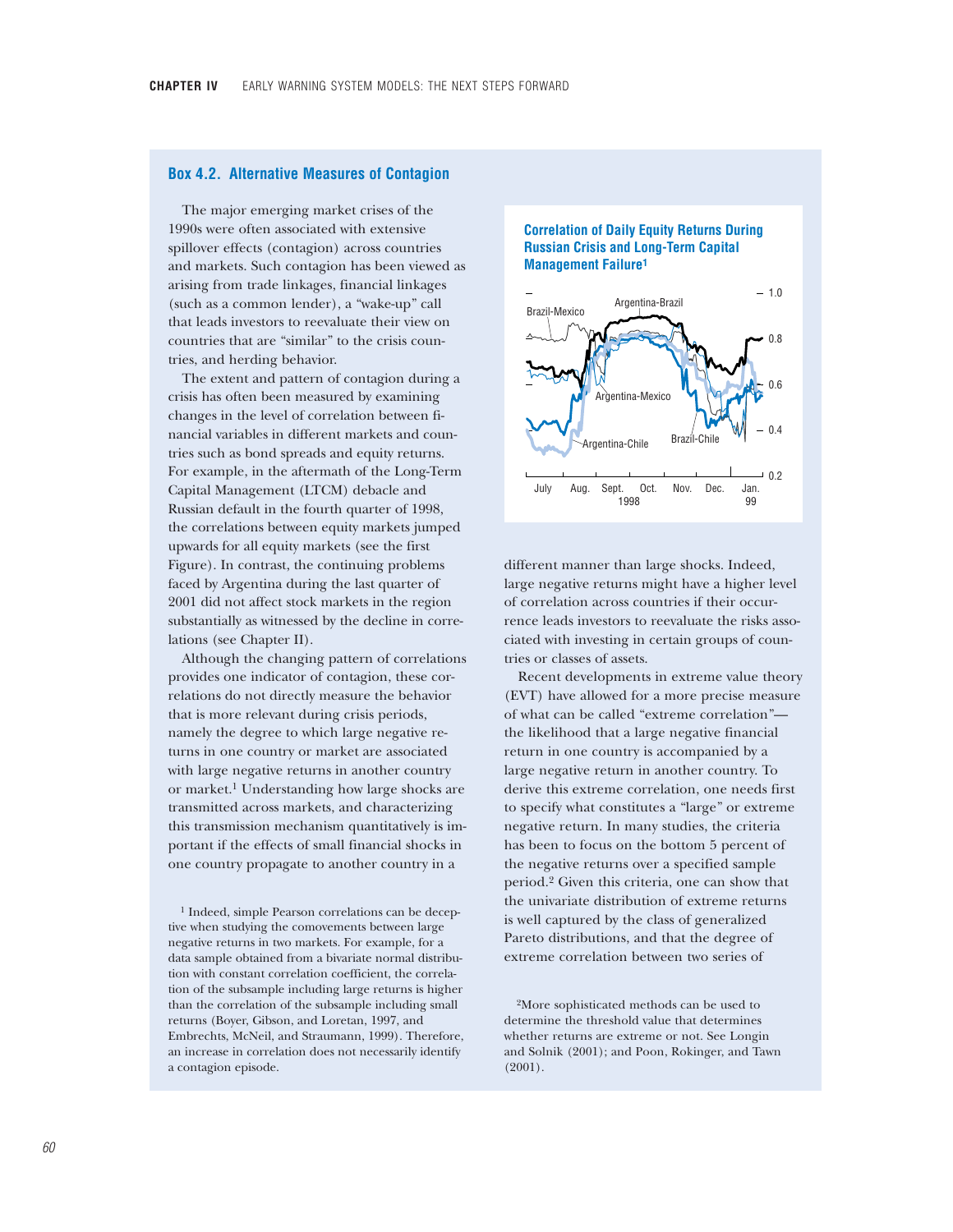#### **Box 4.2. Alternative Measures of Contagion**

The major emerging market crises of the 1990s were often associated with extensive spillover effects (contagion) across countries and markets. Such contagion has been viewed as arising from trade linkages, financial linkages (such as a common lender), a "wake-up" call that leads investors to reevaluate their view on countries that are "similar" to the crisis countries, and herding behavior.

The extent and pattern of contagion during a crisis has often been measured by examining changes in the level of correlation between financial variables in different markets and countries such as bond spreads and equity returns. For example, in the aftermath of the Long-Term Capital Management (LTCM) debacle and Russian default in the fourth quarter of 1998, the correlations between equity markets jumped upwards for all equity markets (see the first Figure). In contrast, the continuing problems faced by Argentina during the last quarter of 2001 did not affect stock markets in the region substantially as witnessed by the decline in correlations (see Chapter II).

Although the changing pattern of correlations provides one indicator of contagion, these correlations do not directly measure the behavior that is more relevant during crisis periods, namely the degree to which large negative returns in one country or market are associated with large negative returns in another country or market.1 Understanding how large shocks are transmitted across markets, and characterizing this transmission mechanism quantitatively is important if the effects of small financial shocks in one country propagate to another country in a

<sup>1</sup> Indeed, simple Pearson correlations can be deceptive when studying the comovements between large negative returns in two markets. For example, for a data sample obtained from a bivariate normal distribution with constant correlation coefficient, the correlation of the subsample including large returns is higher than the correlation of the subsample including small returns (Boyer, Gibson, and Loretan, 1997, and Embrechts, McNeil, and Straumann, 1999). Therefore, an increase in correlation does not necessarily identify a contagion episode.

**Correlation of Daily Equity Returns During Russian Crisis and Long-Term Capital Management Failure1**



different manner than large shocks. Indeed, large negative returns might have a higher level of correlation across countries if their occurrence leads investors to reevaluate the risks associated with investing in certain groups of countries or classes of assets.

Recent developments in extreme value theory (EVT) have allowed for a more precise measure of what can be called "extreme correlation" the likelihood that a large negative financial return in one country is accompanied by a large negative return in another country. To derive this extreme correlation, one needs first to specify what constitutes a "large" or extreme negative return. In many studies, the criteria has been to focus on the bottom 5 percent of the negative returns over a specified sample period.2 Given this criteria, one can show that the univariate distribution of extreme returns is well captured by the class of generalized Pareto distributions, and that the degree of extreme correlation between two series of

2More sophisticated methods can be used to determine the threshold value that determines whether returns are extreme or not. See Longin and Solnik (2001); and Poon, Rokinger, and Tawn (2001).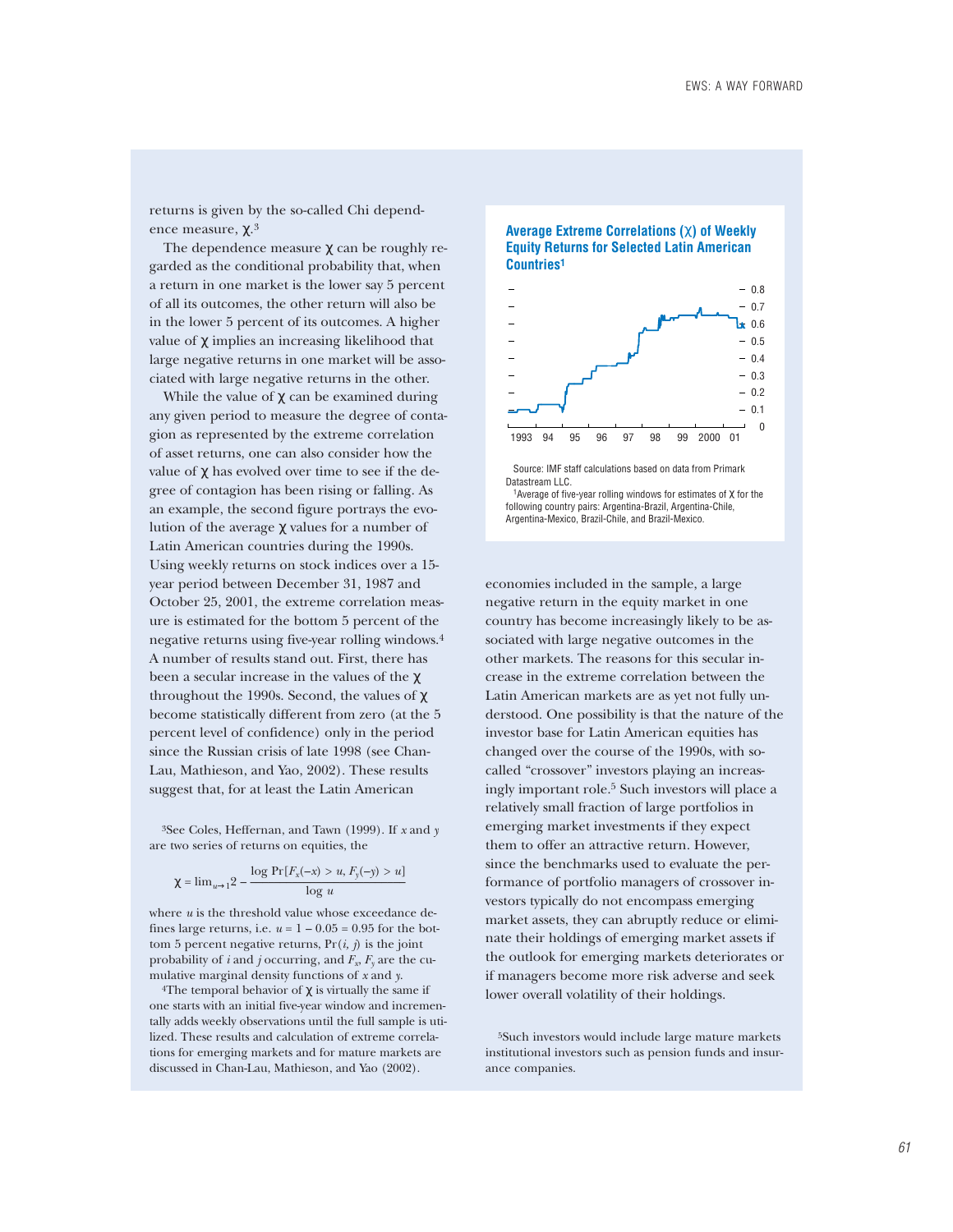returns is given by the so-called Chi dependence measure, χ.3

The dependence measure χ can be roughly regarded as the conditional probability that, when a return in one market is the lower say 5 percent of all its outcomes, the other return will also be in the lower 5 percent of its outcomes. A higher value of χ implies an increasing likelihood that large negative returns in one market will be associated with large negative returns in the other.

While the value of  $\chi$  can be examined during any given period to measure the degree of contagion as represented by the extreme correlation of asset returns, one can also consider how the value of  $χ$  has evolved over time to see if the degree of contagion has been rising or falling. As an example, the second figure portrays the evolution of the average χ values for a number of Latin American countries during the 1990s. Using weekly returns on stock indices over a 15 year period between December 31, 1987 and October 25, 2001, the extreme correlation measure is estimated for the bottom 5 percent of the negative returns using five-year rolling windows.4 A number of results stand out. First, there has been a secular increase in the values of the χ throughout the 1990s. Second, the values of  $\chi$ become statistically different from zero (at the 5 percent level of confidence) only in the period since the Russian crisis of late 1998 (see Chan-Lau, Mathieson, and Yao, 2002). These results suggest that, for at least the Latin American

3See Coles, Heffernan, and Tawn (1999). If *x* and *y* are two series of returns on equities, the

$$
\chi = \lim_{u \to 1} 2 - \frac{\log \Pr[F_x(-x) > u, F_y(-y) > u]}{\log u}
$$

where *u* is the threshold value whose exceedance defines large returns, i.e.  $u = 1 - 0.05 = 0.95$  for the bottom 5 percent negative returns,  $Pr(i, j)$  is the joint probability of *i* and *j* occurring, and  $F_x$ ,  $F_y$  are the cumulative marginal density functions of *x* and *y*.

<sup>4</sup>The temporal behavior of  $χ$  is virtually the same if one starts with an initial five-year window and incrementally adds weekly observations until the full sample is utilized. These results and calculation of extreme correlations for emerging markets and for mature markets are discussed in Chan-Lau, Mathieson, and Yao (2002).





 Source: IMF staff calculations based on data from Primark Datastream LLC.

 1Average of five-year rolling windows for estimates of χ for the following country pairs: Argentina-Brazil, Argentina-Chile, Argentina-Mexico, Brazil-Chile, and Brazil-Mexico.

economies included in the sample, a large negative return in the equity market in one country has become increasingly likely to be associated with large negative outcomes in the other markets. The reasons for this secular increase in the extreme correlation between the Latin American markets are as yet not fully understood. One possibility is that the nature of the investor base for Latin American equities has changed over the course of the 1990s, with socalled "crossover" investors playing an increasingly important role.5 Such investors will place a relatively small fraction of large portfolios in emerging market investments if they expect them to offer an attractive return. However, since the benchmarks used to evaluate the performance of portfolio managers of crossover investors typically do not encompass emerging market assets, they can abruptly reduce or eliminate their holdings of emerging market assets if the outlook for emerging markets deteriorates or if managers become more risk adverse and seek lower overall volatility of their holdings.

5Such investors would include large mature markets institutional investors such as pension funds and insurance companies.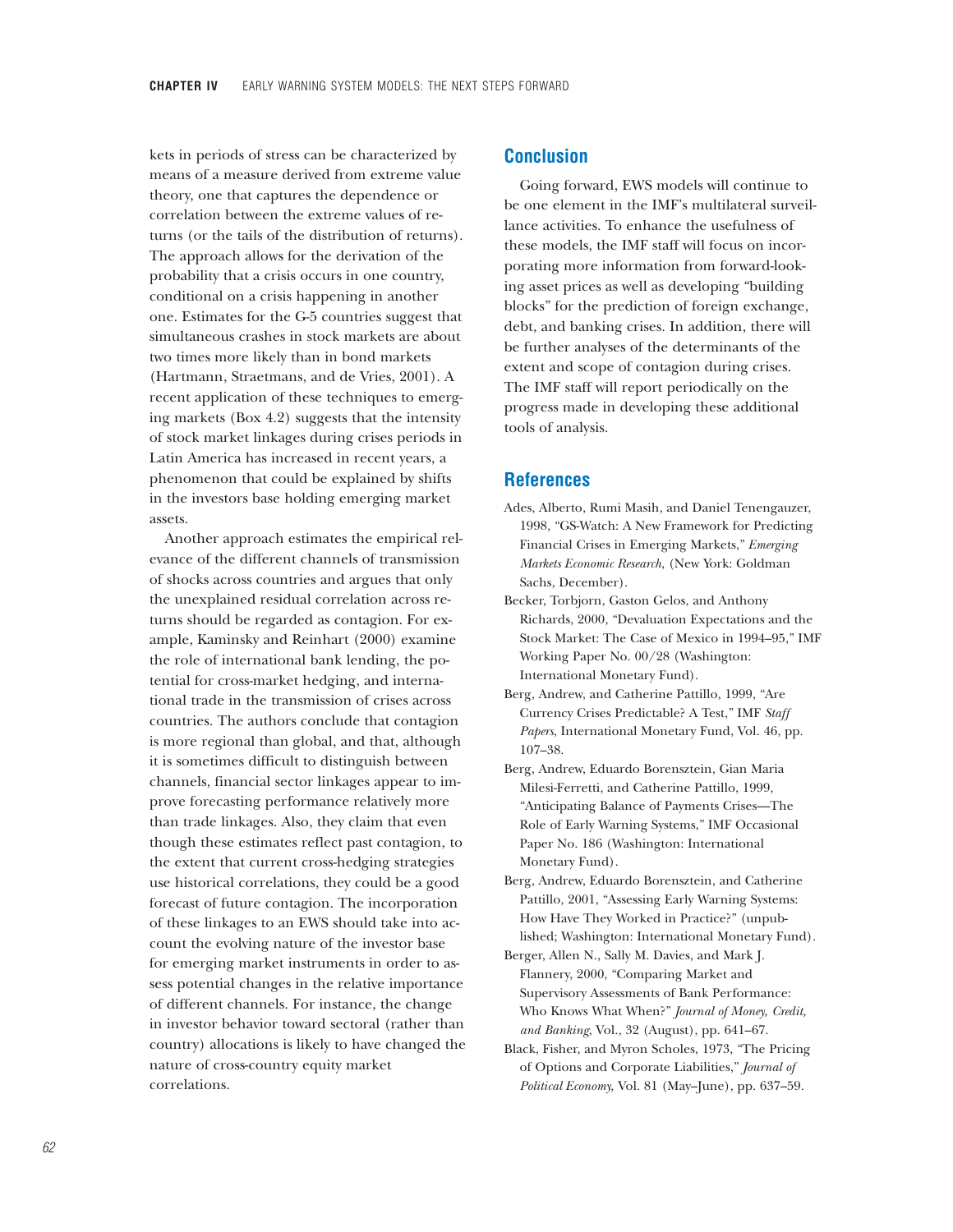kets in periods of stress can be characterized by means of a measure derived from extreme value theory, one that captures the dependence or correlation between the extreme values of returns (or the tails of the distribution of returns). The approach allows for the derivation of the probability that a crisis occurs in one country, conditional on a crisis happening in another one. Estimates for the G-5 countries suggest that simultaneous crashes in stock markets are about two times more likely than in bond markets (Hartmann, Straetmans, and de Vries, 2001). A recent application of these techniques to emerging markets (Box 4.2) suggests that the intensity of stock market linkages during crises periods in Latin America has increased in recent years, a phenomenon that could be explained by shifts in the investors base holding emerging market assets.

Another approach estimates the empirical relevance of the different channels of transmission of shocks across countries and argues that only the unexplained residual correlation across returns should be regarded as contagion. For example, Kaminsky and Reinhart (2000) examine the role of international bank lending, the potential for cross-market hedging, and international trade in the transmission of crises across countries. The authors conclude that contagion is more regional than global, and that, although it is sometimes difficult to distinguish between channels, financial sector linkages appear to improve forecasting performance relatively more than trade linkages. Also, they claim that even though these estimates reflect past contagion, to the extent that current cross-hedging strategies use historical correlations, they could be a good forecast of future contagion. The incorporation of these linkages to an EWS should take into account the evolving nature of the investor base for emerging market instruments in order to assess potential changes in the relative importance of different channels. For instance, the change in investor behavior toward sectoral (rather than country) allocations is likely to have changed the nature of cross-country equity market correlations.

## **Conclusion**

Going forward, EWS models will continue to be one element in the IMF's multilateral surveillance activities. To enhance the usefulness of these models, the IMF staff will focus on incorporating more information from forward-looking asset prices as well as developing "building blocks" for the prediction of foreign exchange, debt, and banking crises. In addition, there will be further analyses of the determinants of the extent and scope of contagion during crises. The IMF staff will report periodically on the progress made in developing these additional tools of analysis.

#### **References**

- Ades, Alberto, Rumi Masih, and Daniel Tenengauzer, 1998, "GS-Watch: A New Framework for Predicting Financial Crises in Emerging Markets," *Emerging Markets Economic Research*, (New York: Goldman Sachs, December).
- Becker, Torbjorn, Gaston Gelos, and Anthony Richards, 2000, "Devaluation Expectations and the Stock Market: The Case of Mexico in 1994–95," IMF Working Paper No. 00/28 (Washington: International Monetary Fund).
- Berg, Andrew, and Catherine Pattillo, 1999, "Are Currency Crises Predictable? A Test," IMF *Staff Papers*, International Monetary Fund, Vol. 46, pp. 107–38.
- Berg, Andrew, Eduardo Borensztein, Gian Maria Milesi-Ferretti, and Catherine Pattillo, 1999, "Anticipating Balance of Payments Crises—The Role of Early Warning Systems," IMF Occasional Paper No. 186 (Washington: International Monetary Fund).
- Berg, Andrew, Eduardo Borensztein, and Catherine Pattillo, 2001, "Assessing Early Warning Systems: How Have They Worked in Practice?" (unpublished; Washington: International Monetary Fund).
- Berger, Allen N., Sally M. Davies, and Mark J. Flannery, 2000, "Comparing Market and Supervisory Assessments of Bank Performance: Who Knows What When?" *Journal of Money, Credit, and Banking*, Vol., 32 (August), pp. 641–67.
- Black, Fisher, and Myron Scholes, 1973, "The Pricing of Options and Corporate Liabilities," *Journal of Political Economy,* Vol. 81 (May–June), pp. 637–59.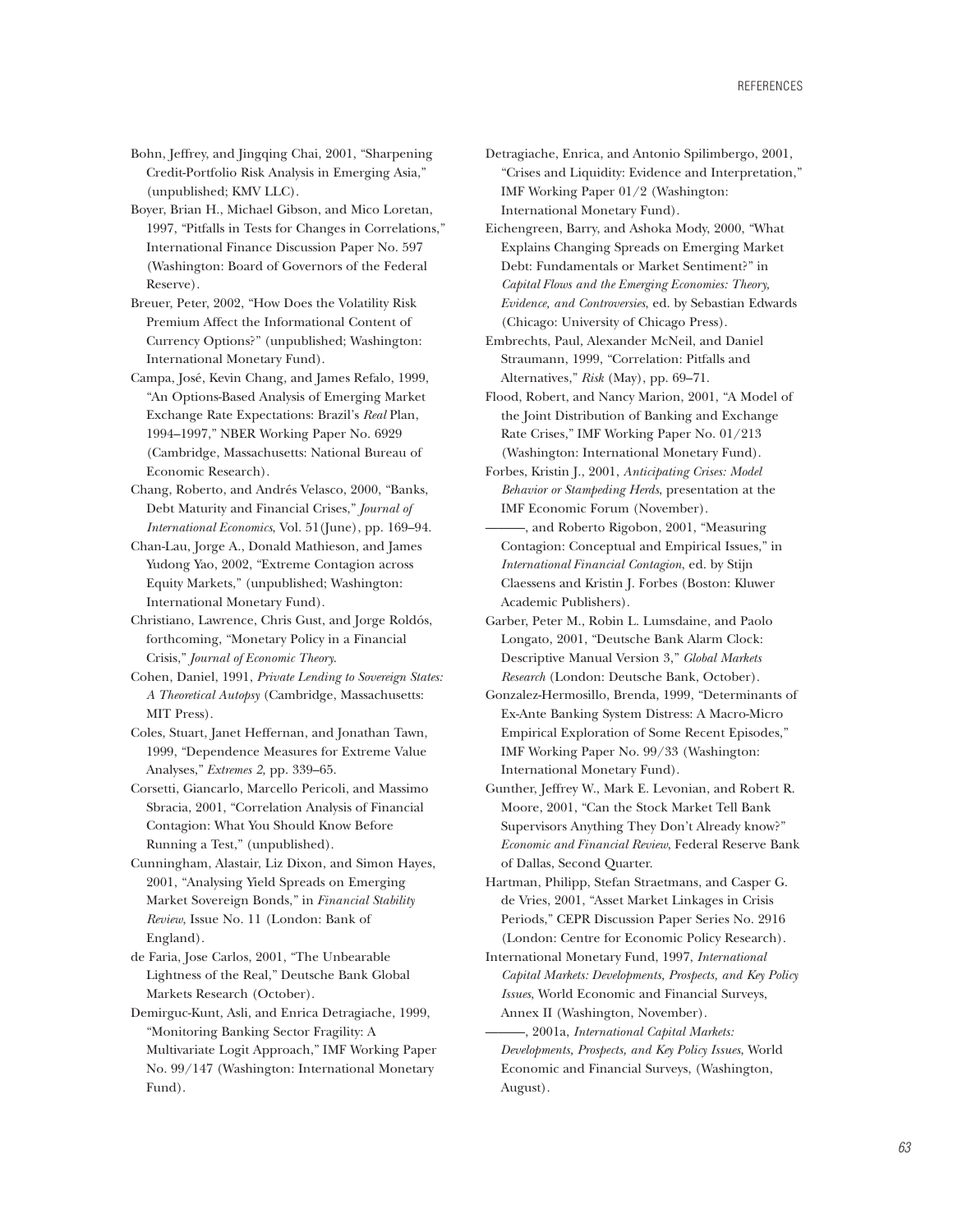- Bohn, Jeffrey, and Jingqing Chai, 2001, "Sharpening Credit-Portfolio Risk Analysis in Emerging Asia," (unpublished; KMV LLC).
- Boyer, Brian H., Michael Gibson, and Mico Loretan, 1997, "Pitfalls in Tests for Changes in Correlations," International Finance Discussion Paper No. 597 (Washington: Board of Governors of the Federal Reserve).
- Breuer, Peter, 2002, "How Does the Volatility Risk Premium Affect the Informational Content of Currency Options?" (unpublished; Washington: International Monetary Fund).
- Campa, José, Kevin Chang, and James Refalo, 1999, "An Options-Based Analysis of Emerging Market Exchange Rate Expectations: Brazil's *Real* Plan, 1994–1997," NBER Working Paper No. 6929 (Cambridge, Massachusetts: National Bureau of Economic Research).
- Chang, Roberto, and Andrés Velasco, 2000, "Banks, Debt Maturity and Financial Crises," *Journal of International Economics*, Vol. 51(June), pp. 169–94.
- Chan-Lau, Jorge A., Donald Mathieson, and James Yudong Yao, 2002, "Extreme Contagion across Equity Markets," (unpublished; Washington: International Monetary Fund).
- Christiano, Lawrence, Chris Gust, and Jorge Roldós, forthcoming, "Monetary Policy in a Financial Crisis," *Journal of Economic Theory*.
- Cohen, Daniel, 1991, *Private Lending to Sovereign States: A Theoretical Autopsy* (Cambridge, Massachusetts: MIT Press).
- Coles, Stuart, Janet Heffernan, and Jonathan Tawn, 1999, "Dependence Measures for Extreme Value Analyses," *Extremes 2,* pp. 339–65.
- Corsetti, Giancarlo, Marcello Pericoli, and Massimo Sbracia, 2001, "Correlation Analysis of Financial Contagion: What You Should Know Before Running a Test," (unpublished).
- Cunningham, Alastair, Liz Dixon, and Simon Hayes, 2001, "Analysing Yield Spreads on Emerging Market Sovereign Bonds," in *Financial Stability Review*, Issue No. 11 (London: Bank of England).
- de Faria, Jose Carlos, 2001, "The Unbearable Lightness of the Real," Deutsche Bank Global Markets Research (October).
- Demirguc-Kunt, Asli, and Enrica Detragiache, 1999, "Monitoring Banking Sector Fragility: A Multivariate Logit Approach," IMF Working Paper No. 99/147 (Washington: International Monetary Fund).
- Detragiache, Enrica, and Antonio Spilimbergo, 2001, "Crises and Liquidity: Evidence and Interpretation," IMF Working Paper 01/2 (Washington: International Monetary Fund).
- Eichengreen, Barry, and Ashoka Mody, 2000, "What Explains Changing Spreads on Emerging Market Debt: Fundamentals or Market Sentiment?" in *Capital Flows and the Emerging Economies: Theory, Evidence, and Controversies*, ed. by Sebastian Edwards (Chicago: University of Chicago Press).
- Embrechts, Paul, Alexander McNeil, and Daniel Straumann, 1999, "Correlation: Pitfalls and Alternatives," *Risk* (May), pp. 69–71.
- Flood, Robert, and Nancy Marion, 2001, "A Model of the Joint Distribution of Banking and Exchange Rate Crises," IMF Working Paper No. 01/213 (Washington: International Monetary Fund).
- Forbes, Kristin J., 2001, *Anticipating Crises: Model Behavior or Stampeding Herds*, presentation at the IMF Economic Forum (November).
- ———, and Roberto Rigobon, 2001, "Measuring Contagion: Conceptual and Empirical Issues," in *International Financial Contagion*, ed. by Stijn Claessens and Kristin J. Forbes (Boston: Kluwer Academic Publishers).
- Garber, Peter M., Robin L. Lumsdaine, and Paolo Longato, 2001, "Deutsche Bank Alarm Clock: Descriptive Manual Version 3," *Global Markets Research* (London: Deutsche Bank, October).
- Gonzalez-Hermosillo, Brenda, 1999, "Determinants of Ex-Ante Banking System Distress: A Macro-Micro Empirical Exploration of Some Recent Episodes," IMF Working Paper No. 99/33 (Washington: International Monetary Fund).
- Gunther, Jeffrey W., Mark E. Levonian, and Robert R. Moore, 2001, "Can the Stock Market Tell Bank Supervisors Anything They Don't Already know?" *Economic and Financial Review*, Federal Reserve Bank of Dallas, Second Quarter.
- Hartman, Philipp, Stefan Straetmans, and Casper G. de Vries, 2001, "Asset Market Linkages in Crisis Periods," CEPR Discussion Paper Series No. 2916 (London: Centre for Economic Policy Research).
- International Monetary Fund, 1997, *International Capital Markets: Developments, Prospects, and Key Policy Issues*, World Economic and Financial Surveys, Annex II (Washington, November).
- ———, 2001a, *International Capital Markets: Developments, Prospects, and Key Policy Issues*, World Economic and Financial Surveys, (Washington, August).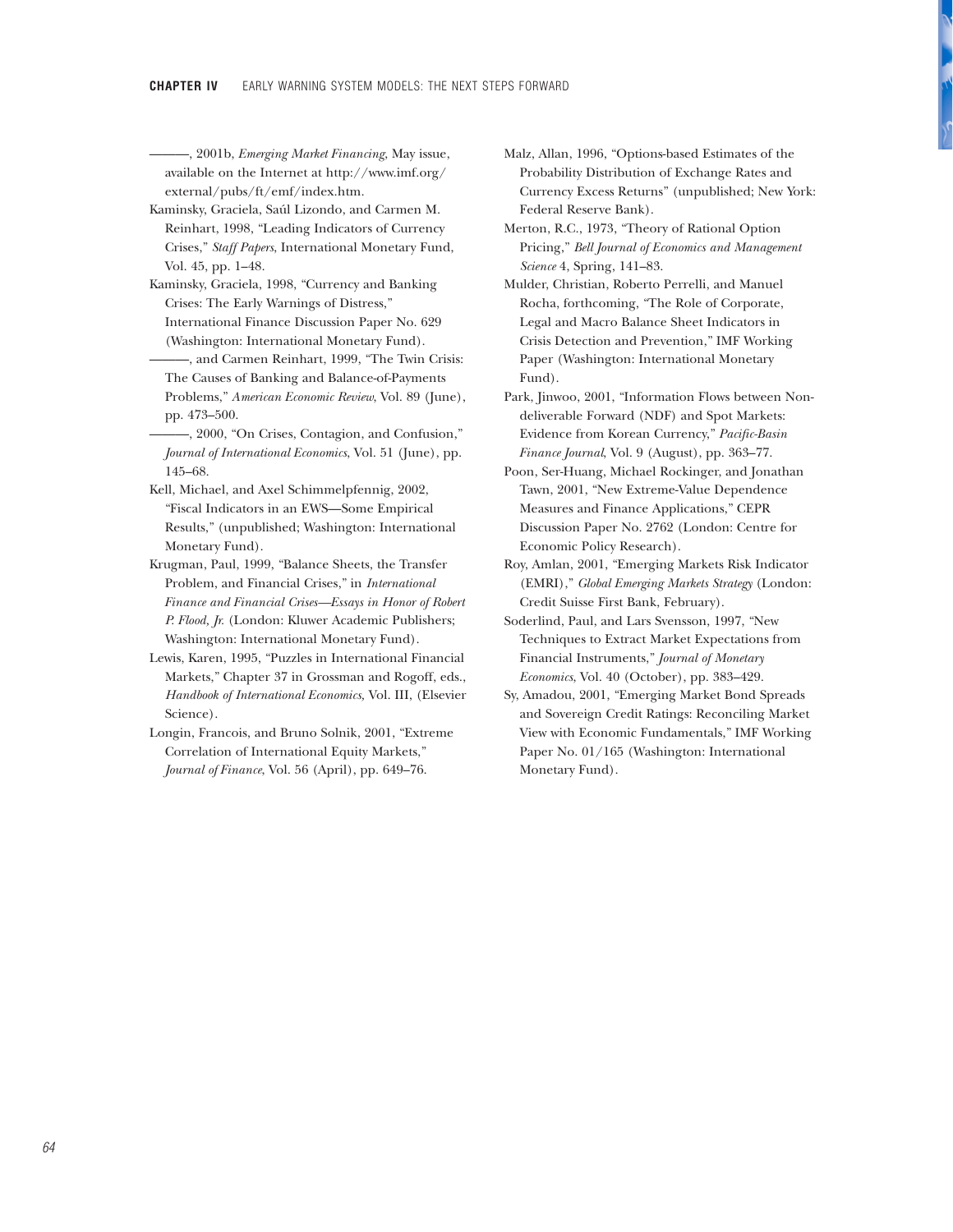———, 2001b, *Emerging Market Financing*, May issue, available on the Internet at http://www.imf.org/ external/pubs/ft/emf/index.htm.

Kaminsky, Graciela, Saúl Lizondo, and Carmen M. Reinhart, 1998, "Leading Indicators of Currency Crises," *Staff Papers*, International Monetary Fund, Vol. 45, pp. 1–48.

Kaminsky, Graciela, 1998, "Currency and Banking Crises: The Early Warnings of Distress," International Finance Discussion Paper No. 629 (Washington: International Monetary Fund).

-, and Carmen Reinhart, 1999, "The Twin Crisis: The Causes of Banking and Balance-of-Payments Problems," *American Economic Review*, Vol. 89 (June), pp. 473–500.

-, 2000, "On Crises, Contagion, and Confusion," *Journal of International Economics*, Vol. 51 (June), pp. 145–68.

Kell, Michael, and Axel Schimmelpfennig, 2002, "Fiscal Indicators in an EWS—Some Empirical Results," (unpublished; Washington: International Monetary Fund).

Krugman, Paul, 1999, "Balance Sheets, the Transfer Problem, and Financial Crises," in *International Finance and Financial Crises—Essays in Honor of Robert P. Flood, Jr.* (London: Kluwer Academic Publishers; Washington: International Monetary Fund).

Lewis, Karen, 1995, "Puzzles in International Financial Markets," Chapter 37 in Grossman and Rogoff, eds., *Handbook of International Economics,* Vol. III, (Elsevier Science).

Longin, Francois, and Bruno Solnik, 2001, "Extreme Correlation of International Equity Markets," *Journal of Finance*, Vol. 56 (April), pp. 649–76.

Malz, Allan, 1996, "Options-based Estimates of the Probability Distribution of Exchange Rates and Currency Excess Returns" (unpublished; New York: Federal Reserve Bank).

Merton, R.C., 1973, "Theory of Rational Option Pricing," *Bell Journal of Economics and Management Science* 4, Spring, 141–83.

Mulder, Christian, Roberto Perrelli, and Manuel Rocha, forthcoming, "The Role of Corporate, Legal and Macro Balance Sheet Indicators in Crisis Detection and Prevention," IMF Working Paper (Washington: International Monetary Fund).

Park, Jinwoo, 2001, "Information Flows between Nondeliverable Forward (NDF) and Spot Markets: Evidence from Korean Currency," *Pacific-Basin Finance Journal*, Vol. 9 (August), pp. 363–77.

Poon, Ser-Huang, Michael Rockinger, and Jonathan Tawn, 2001, "New Extreme-Value Dependence Measures and Finance Applications," CEPR Discussion Paper No. 2762 (London: Centre for Economic Policy Research).

Roy, Amlan, 2001, "Emerging Markets Risk Indicator (EMRI)," *Global Emerging Markets Strategy* (London: Credit Suisse First Bank, February).

Soderlind, Paul, and Lars Svensson, 1997, "New Techniques to Extract Market Expectations from Financial Instruments," *Journal of Monetary Economics*, Vol. 40 (October), pp. 383–429.

Sy, Amadou, 2001, "Emerging Market Bond Spreads and Sovereign Credit Ratings: Reconciling Market View with Economic Fundamentals," IMF Working Paper No. 01/165 (Washington: International Monetary Fund).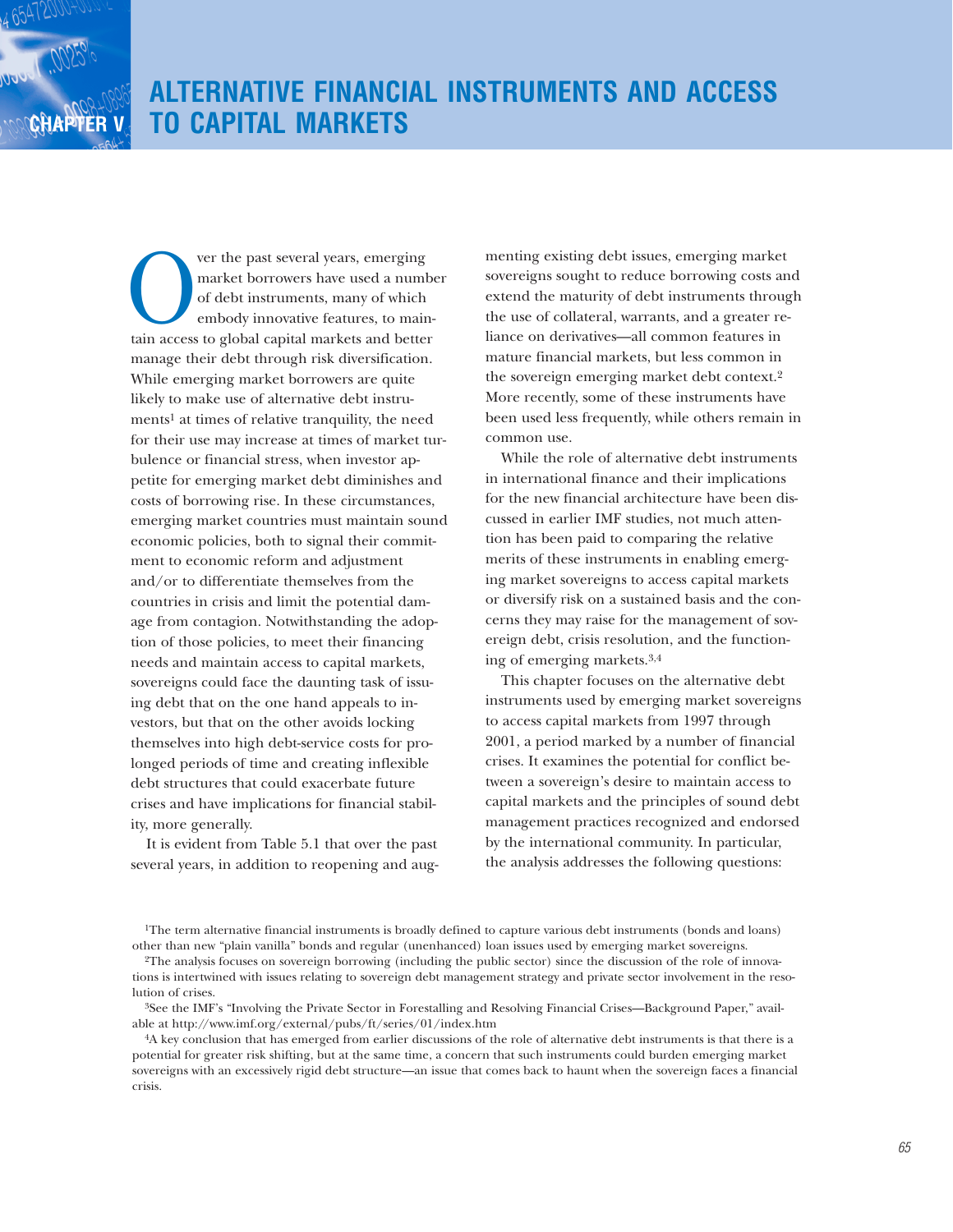The past several years, emerging<br>
of debt instruments, many of which<br>
embody innovative features, to main<br>
tain access to global capital markets and better market borrowers have used a number of debt instruments, many of which embody innovative features, to mainmanage their debt through risk diversification. While emerging market borrowers are quite likely to make use of alternative debt instruments1 at times of relative tranquility, the need for their use may increase at times of market turbulence or financial stress, when investor appetite for emerging market debt diminishes and costs of borrowing rise. In these circumstances, emerging market countries must maintain sound economic policies, both to signal their commitment to economic reform and adjustment and/or to differentiate themselves from the countries in crisis and limit the potential damage from contagion. Notwithstanding the adoption of those policies, to meet their financing needs and maintain access to capital markets, sovereigns could face the daunting task of issuing debt that on the one hand appeals to investors, but that on the other avoids locking themselves into high debt-service costs for prolonged periods of time and creating inflexible debt structures that could exacerbate future crises and have implications for financial stability, more generally.

**CHAPTER V**

It is evident from Table 5.1 that over the past several years, in addition to reopening and augmenting existing debt issues, emerging market sovereigns sought to reduce borrowing costs and extend the maturity of debt instruments through the use of collateral, warrants, and a greater reliance on derivatives—all common features in mature financial markets, but less common in the sovereign emerging market debt context.2 More recently, some of these instruments have been used less frequently, while others remain in common use.

While the role of alternative debt instruments in international finance and their implications for the new financial architecture have been discussed in earlier IMF studies, not much attention has been paid to comparing the relative merits of these instruments in enabling emerging market sovereigns to access capital markets or diversify risk on a sustained basis and the concerns they may raise for the management of sovereign debt, crisis resolution, and the functioning of emerging markets.3,4

This chapter focuses on the alternative debt instruments used by emerging market sovereigns to access capital markets from 1997 through 2001, a period marked by a number of financial crises. It examines the potential for conflict between a sovereign's desire to maintain access to capital markets and the principles of sound debt management practices recognized and endorsed by the international community. In particular, the analysis addresses the following questions:

1The term alternative financial instruments is broadly defined to capture various debt instruments (bonds and loans) other than new "plain vanilla" bonds and regular (unenhanced) loan issues used by emerging market sovereigns.

2The analysis focuses on sovereign borrowing (including the public sector) since the discussion of the role of innovations is intertwined with issues relating to sovereign debt management strategy and private sector involvement in the resolution of crises.

3See the IMF's "Involving the Private Sector in Forestalling and Resolving Financial Crises—Background Paper," available at http://www.imf.org/external/pubs/ft/series/01/index.htm

4A key conclusion that has emerged from earlier discussions of the role of alternative debt instruments is that there is a potential for greater risk shifting, but at the same time, a concern that such instruments could burden emerging market sovereigns with an excessively rigid debt structure—an issue that comes back to haunt when the sovereign faces a financial crisis.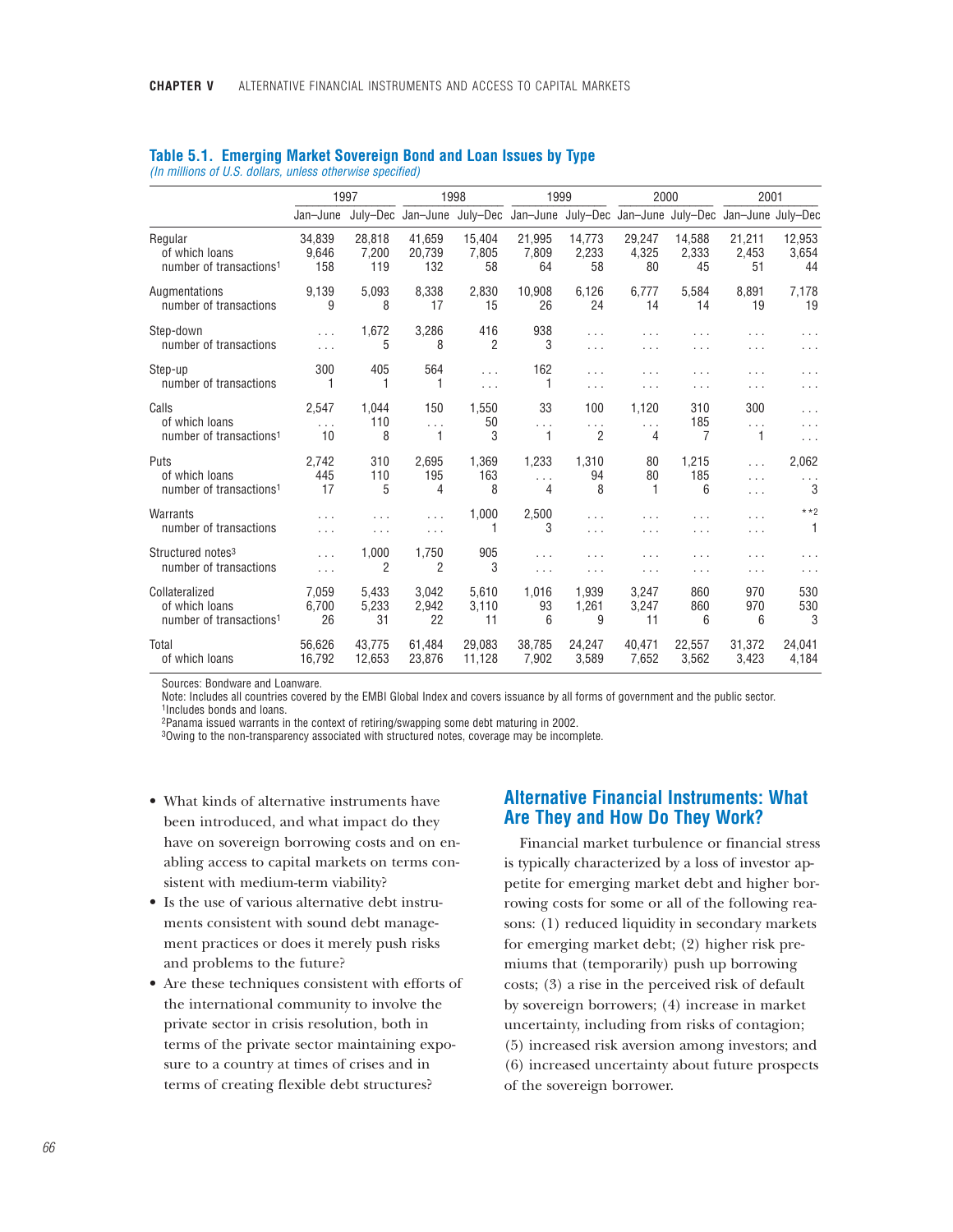|                                                                |                  | 1997                         |                      | 1998             | 1999                                                                             |                                   | 2000                   |                 | 2001                 |        |
|----------------------------------------------------------------|------------------|------------------------------|----------------------|------------------|----------------------------------------------------------------------------------|-----------------------------------|------------------------|-----------------|----------------------|--------|
|                                                                | Jan-June         |                              |                      |                  | July-Dec Jan-June July-Dec Jan-June July-Dec Jan-June July-Dec Jan-June July-Dec |                                   |                        |                 |                      |        |
| Regular                                                        | 34.839           | 28.818                       | 41.659               | 15.404           | 21,995                                                                           | 14,773                            | 29,247                 | 14.588          | 21,211               | 12.953 |
| of which loans                                                 | 9.646            | 7.200                        | 20.739               | 7.805            | 7.809                                                                            | 2,233                             | 4,325                  | 2,333           | 2,453                | 3,654  |
| number of transactions <sup>1</sup>                            | 158              | 119                          | 132                  | 58               | 64                                                                               | 58                                | 80                     | 45              | 51                   | 44     |
| Augmentations                                                  | 9,139            | 5,093                        | 8,338                | 2,830            | 10,908                                                                           | 6,126                             | 6,777                  | 5,584           | 8.891                | 7,178  |
| number of transactions                                         | 9                | 8                            | 17                   | 15               | 26                                                                               | 24                                | 14                     | 14              | 19                   | 19     |
| Step-down<br>number of transactions                            | $\ldots$<br>.    | 1.672<br>5                   | 3.286<br>8           | 416<br>2         | 938<br>3                                                                         | .<br>.                            | .                      | .               | .                    | .      |
| Step-up                                                        | 300              | 405                          | 564                  | $\cdots$         | 162                                                                              | .                                 | .                      | .               | .                    |        |
| number of transactions                                         | 1                | 1                            | 1                    | $\cdots$         | 1                                                                                | .                                 | $\cdots$               | .               | .                    |        |
| Calls<br>of which loans<br>number of transactions <sup>1</sup> | 2.547<br>.<br>10 | 1.044<br>110<br>8            | 150<br>$\ldots$<br>1 | 1.550<br>50<br>3 | 33<br>$\cdots$<br>1                                                              | 100<br>$\cdots$<br>$\overline{2}$ | 1.120<br>$\cdots$<br>4 | 310<br>185<br>7 | 300<br>$\cdots$<br>1 | .<br>. |
| Puts                                                           | 2.742            | 310                          | 2.695                | 1.369            | 1.233                                                                            | 1.310                             | 80                     | 1.215           | .                    | 2.062  |
| of which loans                                                 | 445              | 110                          | 195                  | 163              | $\cdots$                                                                         | 94                                | 80                     | 185             | .                    | .      |
| number of transactions <sup>1</sup>                            | 17               | 5                            | 4                    | 8                | 4                                                                                | 8                                 | 1                      | 6               | .                    | 3      |
| Warrants<br>number of transactions                             | .                | $\cdot$ $\cdot$ $\cdot$<br>. | .<br>$\cdots$        | 1.000<br>1       | 2.500<br>3                                                                       | .<br>.                            | .<br>.                 | .<br>.          | .<br>.               | $***2$ |
| Structured notes <sup>3</sup>                                  | $\ldots$         | 1.000                        | 1.750                | 905              | $\cdots$                                                                         | .                                 | .                      | .               | .                    | .      |
| number of transactions                                         | $\cdots$         | 2                            | $\overline{2}$       | 3                | $\cdots$                                                                         | .                                 | $\cdots$               | .               | .                    | .      |
| Collateralized                                                 | 7.059            | 5.433                        | 3.042                | 5.610            | 1.016                                                                            | 1.939                             | 3.247                  | 860             | 970                  | 530    |
| of which loans                                                 | 6.700            | 5,233                        | 2,942                | 3,110            | 93                                                                               | 1.261                             | 3,247                  | 860             | 970                  | 530    |
| number of transactions <sup>1</sup>                            | 26               | 31                           | 22                   | 11               | 6                                                                                | 9                                 | 11                     | 6               | 6                    | 3      |
| Total                                                          | 56.626           | 43.775                       | 61.484               | 29.083           | 38.785                                                                           | 24.247                            | 40.471                 | 22,557          | 31,372               | 24,041 |
| of which loans                                                 | 16,792           | 12,653                       | 23,876               | 11,128           | 7,902                                                                            | 3,589                             | 7,652                  | 3,562           | 3,423                | 4,184  |

#### **Table 5.1. Emerging Market Sovereign Bond and Loan Issues by Type** *(In millions of U.S. dollars, unless otherwise specified)*

Sources: Bondware and Loanware.

Note: Includes all countries covered by the EMBI Global Index and covers issuance by all forms of government and the public sector.<br><sup>1</sup>Includes bonds and loans.

2Panama issued warrants in the context of retiring/swapping some debt maturing in 2002.

3Owing to the non-transparency associated with structured notes, coverage may be incomplete.

- What kinds of alternative instruments have been introduced, and what impact do they have on sovereign borrowing costs and on enabling access to capital markets on terms consistent with medium-term viability?
- Is the use of various alternative debt instruments consistent with sound debt management practices or does it merely push risks and problems to the future?
- Are these techniques consistent with efforts of the international community to involve the private sector in crisis resolution, both in terms of the private sector maintaining exposure to a country at times of crises and in terms of creating flexible debt structures?

## **Alternative Financial Instruments: What Are They and How Do They Work?**

Financial market turbulence or financial stress is typically characterized by a loss of investor appetite for emerging market debt and higher borrowing costs for some or all of the following reasons: (1) reduced liquidity in secondary markets for emerging market debt; (2) higher risk premiums that (temporarily) push up borrowing costs; (3) a rise in the perceived risk of default by sovereign borrowers; (4) increase in market uncertainty, including from risks of contagion; (5) increased risk aversion among investors; and (6) increased uncertainty about future prospects of the sovereign borrower.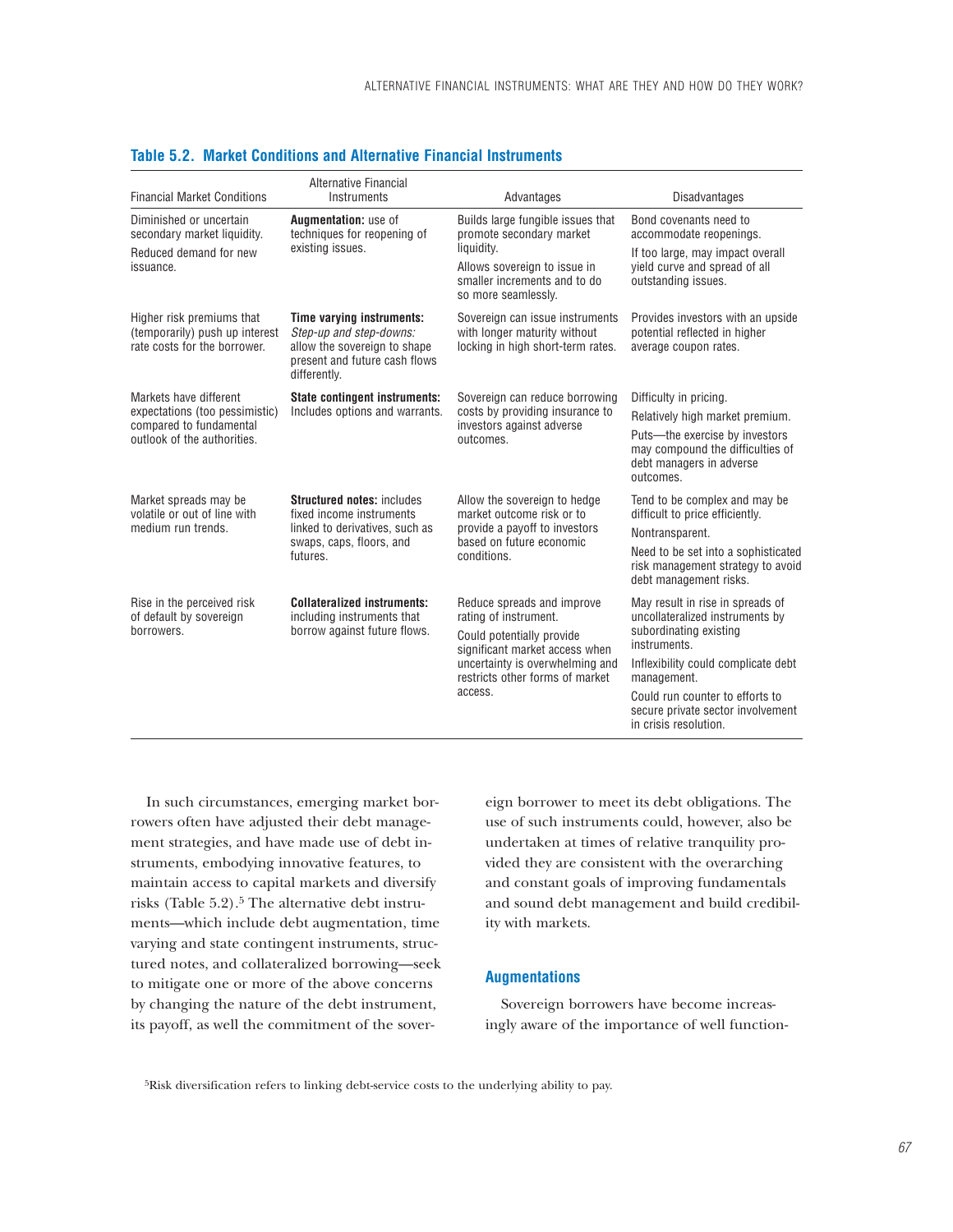| <b>Financial Market Conditions</b>                                                                                 | <b>Alternative Financial</b><br>Instruments                                                                                             | Advantages                                                                                                                                                                                          | Disadvantages                                                                                                                                                                                                                                                        |
|--------------------------------------------------------------------------------------------------------------------|-----------------------------------------------------------------------------------------------------------------------------------------|-----------------------------------------------------------------------------------------------------------------------------------------------------------------------------------------------------|----------------------------------------------------------------------------------------------------------------------------------------------------------------------------------------------------------------------------------------------------------------------|
| Diminished or uncertain<br>secondary market liquidity.<br>Reduced demand for new<br>issuance.                      | Augmentation: use of<br>techniques for reopening of<br>existing issues.                                                                 | Builds large fungible issues that<br>promote secondary market<br>liquidity.<br>Allows sovereign to issue in<br>smaller increments and to do<br>so more seamlessly.                                  | Bond covenants need to<br>accommodate reopenings.<br>If too large, may impact overall<br>vield curve and spread of all<br>outstanding issues.                                                                                                                        |
| Higher risk premiums that<br>(temporarily) push up interest<br>rate costs for the borrower.                        | Time varying instruments:<br>Step-up and step-downs:<br>allow the sovereign to shape<br>present and future cash flows<br>differently.   | Sovereign can issue instruments<br>with longer maturity without<br>locking in high short-term rates.                                                                                                | Provides investors with an upside<br>potential reflected in higher<br>average coupon rates.                                                                                                                                                                          |
| Markets have different<br>expectations (too pessimistic)<br>compared to fundamental<br>outlook of the authorities. | <b>State contingent instruments:</b><br>Includes options and warrants.                                                                  | Sovereign can reduce borrowing<br>costs by providing insurance to<br>investors against adverse<br>outcomes.                                                                                         | Difficulty in pricing.<br>Relatively high market premium.<br>Puts-the exercise by investors<br>may compound the difficulties of<br>debt managers in adverse<br>outcomes.                                                                                             |
| Market spreads may be<br>volatile or out of line with<br>medium run trends.                                        | <b>Structured notes: includes</b><br>fixed income instruments<br>linked to derivatives, such as<br>swaps, caps, floors, and<br>futures. | Allow the sovereign to hedge<br>market outcome risk or to<br>provide a payoff to investors<br>based on future economic<br>conditions.                                                               | Tend to be complex and may be<br>difficult to price efficiently.<br>Nontransparent.<br>Need to be set into a sophisticated<br>risk management strategy to avoid<br>debt management risks.                                                                            |
| Rise in the perceived risk<br>of default by sovereign<br>borrowers.                                                | <b>Collateralized instruments:</b><br>including instruments that<br>borrow against future flows.                                        | Reduce spreads and improve<br>rating of instrument.<br>Could potentially provide<br>significant market access when<br>uncertainty is overwhelming and<br>restricts other forms of market<br>access. | May result in rise in spreads of<br>uncollateralized instruments by<br>subordinating existing<br>instruments.<br>Inflexibility could complicate debt<br>management.<br>Could run counter to efforts to<br>secure private sector involvement<br>in crisis resolution. |

## **Table 5.2. Market Conditions and Alternative Financial Instruments**

In such circumstances, emerging market borrowers often have adjusted their debt management strategies, and have made use of debt instruments, embodying innovative features, to maintain access to capital markets and diversify risks (Table 5.2).<sup>5</sup> The alternative debt instruments—which include debt augmentation, time varying and state contingent instruments, structured notes, and collateralized borrowing—seek to mitigate one or more of the above concerns by changing the nature of the debt instrument, its payoff, as well the commitment of the sovereign borrower to meet its debt obligations. The use of such instruments could, however, also be undertaken at times of relative tranquility provided they are consistent with the overarching and constant goals of improving fundamentals and sound debt management and build credibility with markets.

#### **Augmentations**

Sovereign borrowers have become increasingly aware of the importance of well function-

5Risk diversification refers to linking debt-service costs to the underlying ability to pay.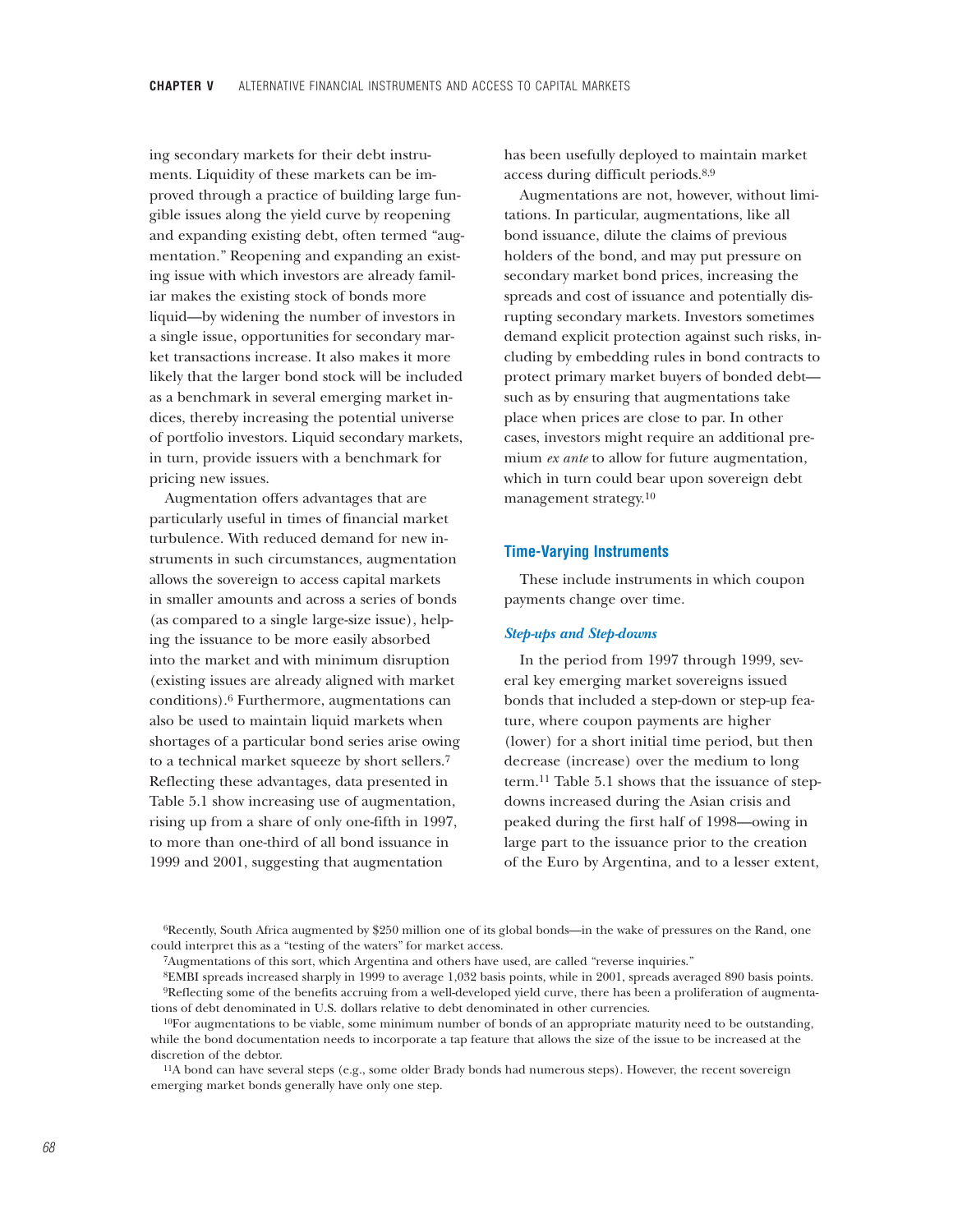ing secondary markets for their debt instruments. Liquidity of these markets can be improved through a practice of building large fungible issues along the yield curve by reopening and expanding existing debt, often termed "augmentation." Reopening and expanding an existing issue with which investors are already familiar makes the existing stock of bonds more liquid—by widening the number of investors in a single issue, opportunities for secondary market transactions increase. It also makes it more likely that the larger bond stock will be included as a benchmark in several emerging market indices, thereby increasing the potential universe of portfolio investors. Liquid secondary markets, in turn, provide issuers with a benchmark for pricing new issues.

Augmentation offers advantages that are particularly useful in times of financial market turbulence. With reduced demand for new instruments in such circumstances, augmentation allows the sovereign to access capital markets in smaller amounts and across a series of bonds (as compared to a single large-size issue), helping the issuance to be more easily absorbed into the market and with minimum disruption (existing issues are already aligned with market conditions).6 Furthermore, augmentations can also be used to maintain liquid markets when shortages of a particular bond series arise owing to a technical market squeeze by short sellers.7 Reflecting these advantages, data presented in Table 5.1 show increasing use of augmentation, rising up from a share of only one-fifth in 1997, to more than one-third of all bond issuance in 1999 and 2001, suggesting that augmentation

has been usefully deployed to maintain market access during difficult periods.8,9

Augmentations are not, however, without limitations. In particular, augmentations, like all bond issuance, dilute the claims of previous holders of the bond, and may put pressure on secondary market bond prices, increasing the spreads and cost of issuance and potentially disrupting secondary markets. Investors sometimes demand explicit protection against such risks, including by embedding rules in bond contracts to protect primary market buyers of bonded debt such as by ensuring that augmentations take place when prices are close to par. In other cases, investors might require an additional premium *ex ante* to allow for future augmentation, which in turn could bear upon sovereign debt management strategy.10

#### **Time-Varying Instruments**

These include instruments in which coupon payments change over time.

#### *Step-ups and Step-downs*

In the period from 1997 through 1999, several key emerging market sovereigns issued bonds that included a step-down or step-up feature, where coupon payments are higher (lower) for a short initial time period, but then decrease (increase) over the medium to long term.11 Table 5.1 shows that the issuance of stepdowns increased during the Asian crisis and peaked during the first half of 1998—owing in large part to the issuance prior to the creation of the Euro by Argentina, and to a lesser extent,

 $10$ For augmentations to be viable, some minimum number of bonds of an appropriate maturity need to be outstanding, while the bond documentation needs to incorporate a tap feature that allows the size of the issue to be increased at the discretion of the debtor.

11A bond can have several steps (e.g., some older Brady bonds had numerous steps). However, the recent sovereign emerging market bonds generally have only one step.

<sup>6</sup>Recently, South Africa augmented by \$250 million one of its global bonds—in the wake of pressures on the Rand, one could interpret this as a "testing of the waters" for market access.

<sup>7</sup>Augmentations of this sort, which Argentina and others have used, are called "reverse inquiries."

<sup>8</sup>EMBI spreads increased sharply in 1999 to average 1,032 basis points, while in 2001, spreads averaged 890 basis points. 9Reflecting some of the benefits accruing from a well-developed yield curve, there has been a proliferation of augmentations of debt denominated in U.S. dollars relative to debt denominated in other currencies.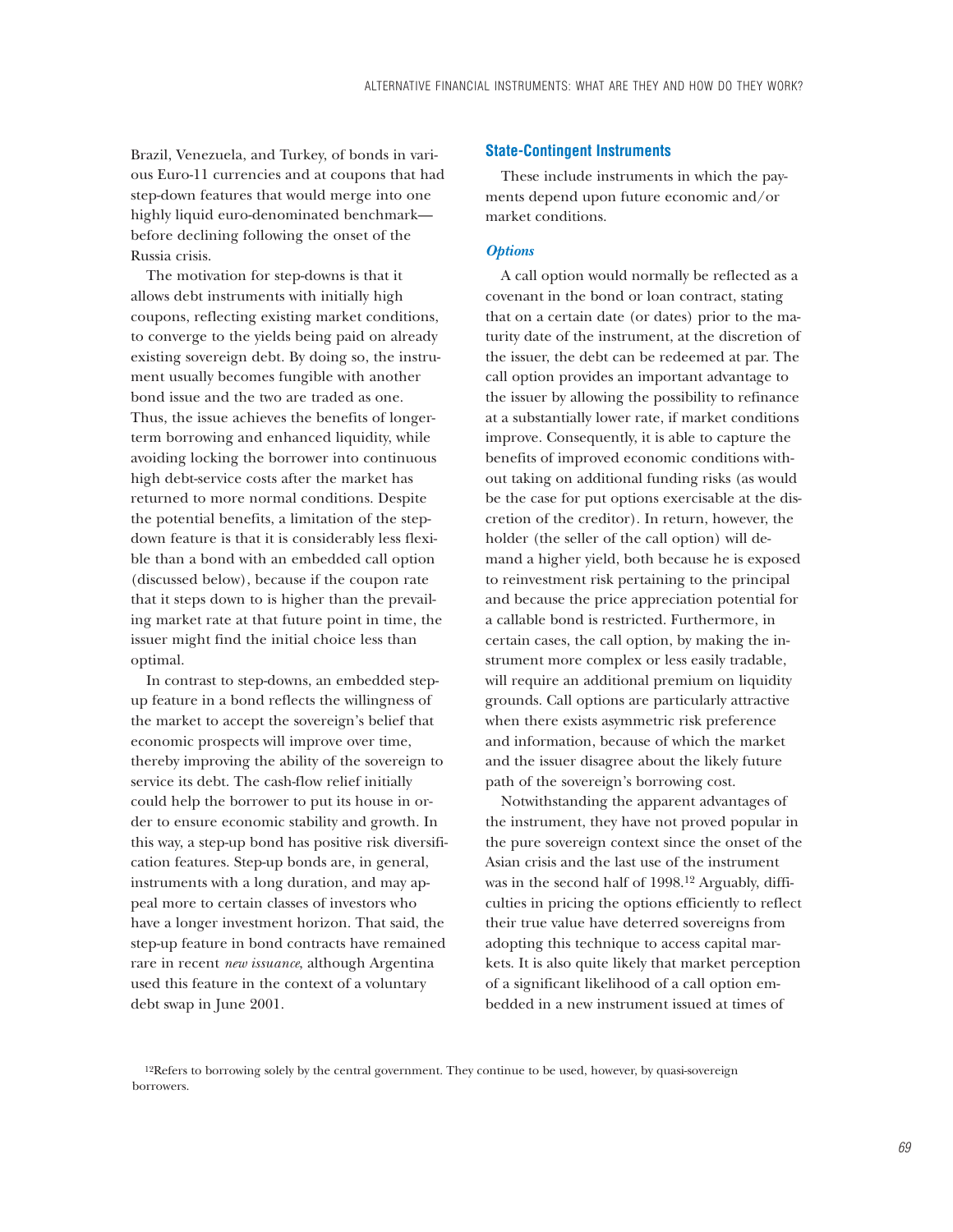Brazil, Venezuela, and Turkey, of bonds in various Euro-11 currencies and at coupons that had step-down features that would merge into one highly liquid euro-denominated benchmark before declining following the onset of the Russia crisis.

The motivation for step-downs is that it allows debt instruments with initially high coupons, reflecting existing market conditions, to converge to the yields being paid on already existing sovereign debt. By doing so, the instrument usually becomes fungible with another bond issue and the two are traded as one. Thus, the issue achieves the benefits of longerterm borrowing and enhanced liquidity, while avoiding locking the borrower into continuous high debt-service costs after the market has returned to more normal conditions. Despite the potential benefits, a limitation of the stepdown feature is that it is considerably less flexible than a bond with an embedded call option (discussed below), because if the coupon rate that it steps down to is higher than the prevailing market rate at that future point in time, the issuer might find the initial choice less than optimal.

In contrast to step-downs, an embedded stepup feature in a bond reflects the willingness of the market to accept the sovereign's belief that economic prospects will improve over time, thereby improving the ability of the sovereign to service its debt. The cash-flow relief initially could help the borrower to put its house in order to ensure economic stability and growth. In this way, a step-up bond has positive risk diversification features. Step-up bonds are, in general, instruments with a long duration, and may appeal more to certain classes of investors who have a longer investment horizon. That said, the step-up feature in bond contracts have remained rare in recent *new issuance*, although Argentina used this feature in the context of a voluntary debt swap in June 2001.

#### **State-Contingent Instruments**

These include instruments in which the payments depend upon future economic and/or market conditions.

#### *Options*

A call option would normally be reflected as a covenant in the bond or loan contract, stating that on a certain date (or dates) prior to the maturity date of the instrument, at the discretion of the issuer, the debt can be redeemed at par. The call option provides an important advantage to the issuer by allowing the possibility to refinance at a substantially lower rate, if market conditions improve. Consequently, it is able to capture the benefits of improved economic conditions without taking on additional funding risks (as would be the case for put options exercisable at the discretion of the creditor). In return, however, the holder (the seller of the call option) will demand a higher yield, both because he is exposed to reinvestment risk pertaining to the principal and because the price appreciation potential for a callable bond is restricted. Furthermore, in certain cases, the call option, by making the instrument more complex or less easily tradable, will require an additional premium on liquidity grounds. Call options are particularly attractive when there exists asymmetric risk preference and information, because of which the market and the issuer disagree about the likely future path of the sovereign's borrowing cost.

Notwithstanding the apparent advantages of the instrument, they have not proved popular in the pure sovereign context since the onset of the Asian crisis and the last use of the instrument was in the second half of 1998.12 Arguably, difficulties in pricing the options efficiently to reflect their true value have deterred sovereigns from adopting this technique to access capital markets. It is also quite likely that market perception of a significant likelihood of a call option embedded in a new instrument issued at times of

<sup>&</sup>lt;sup>12</sup>Refers to borrowing solely by the central government. They continue to be used, however, by quasi-sovereign borrowers.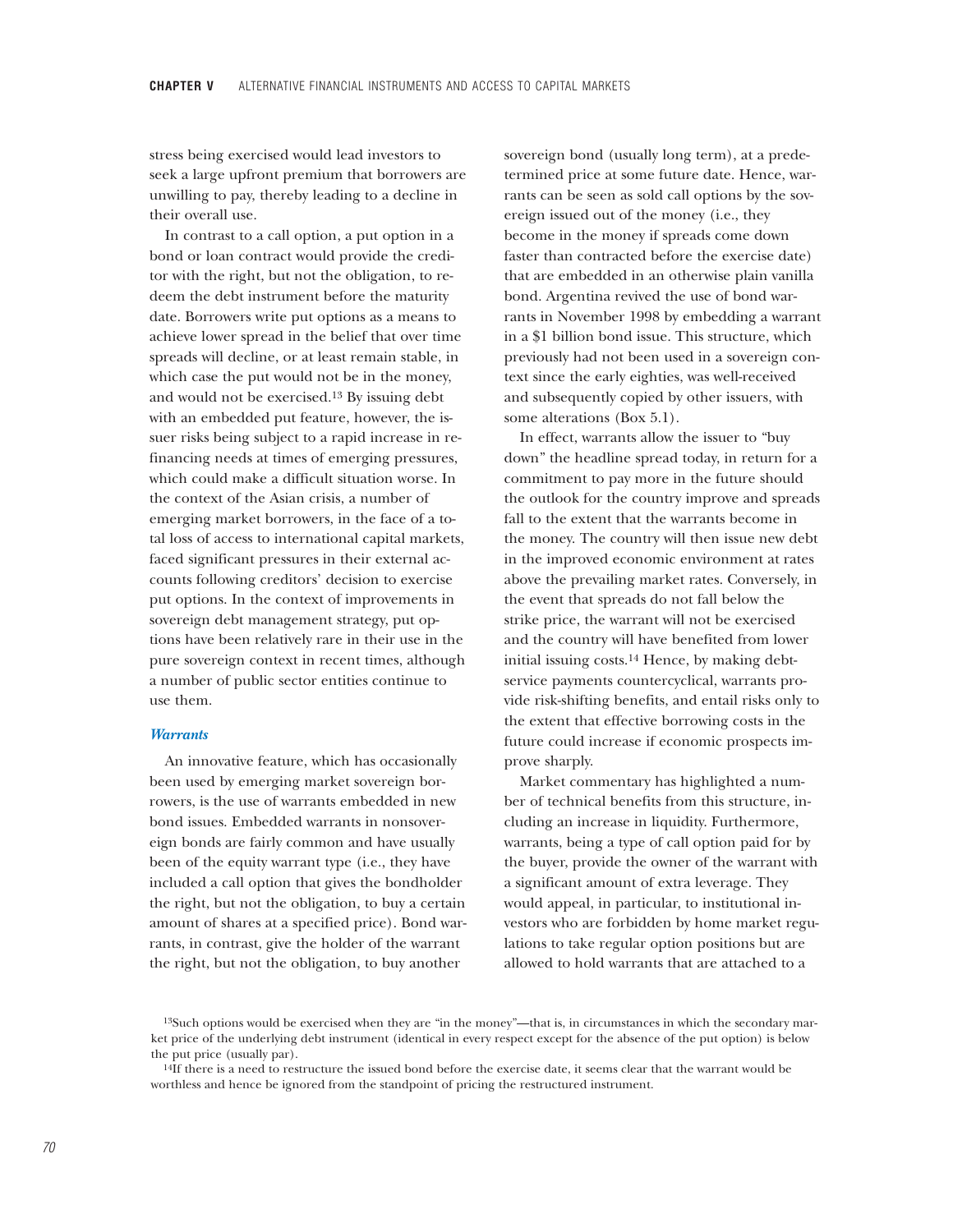stress being exercised would lead investors to seek a large upfront premium that borrowers are unwilling to pay, thereby leading to a decline in their overall use.

In contrast to a call option, a put option in a bond or loan contract would provide the creditor with the right, but not the obligation, to redeem the debt instrument before the maturity date. Borrowers write put options as a means to achieve lower spread in the belief that over time spreads will decline, or at least remain stable, in which case the put would not be in the money, and would not be exercised.13 By issuing debt with an embedded put feature, however, the issuer risks being subject to a rapid increase in refinancing needs at times of emerging pressures, which could make a difficult situation worse. In the context of the Asian crisis, a number of emerging market borrowers, in the face of a total loss of access to international capital markets, faced significant pressures in their external accounts following creditors' decision to exercise put options. In the context of improvements in sovereign debt management strategy, put options have been relatively rare in their use in the pure sovereign context in recent times, although a number of public sector entities continue to use them.

#### *Warrants*

An innovative feature, which has occasionally been used by emerging market sovereign borrowers, is the use of warrants embedded in new bond issues. Embedded warrants in nonsovereign bonds are fairly common and have usually been of the equity warrant type (i.e., they have included a call option that gives the bondholder the right, but not the obligation, to buy a certain amount of shares at a specified price). Bond warrants, in contrast, give the holder of the warrant the right, but not the obligation, to buy another

sovereign bond (usually long term), at a predetermined price at some future date. Hence, warrants can be seen as sold call options by the sovereign issued out of the money (i.e., they become in the money if spreads come down faster than contracted before the exercise date) that are embedded in an otherwise plain vanilla bond. Argentina revived the use of bond warrants in November 1998 by embedding a warrant in a \$1 billion bond issue. This structure, which previously had not been used in a sovereign context since the early eighties, was well-received and subsequently copied by other issuers, with some alterations (Box 5.1).

In effect, warrants allow the issuer to "buy down" the headline spread today, in return for a commitment to pay more in the future should the outlook for the country improve and spreads fall to the extent that the warrants become in the money. The country will then issue new debt in the improved economic environment at rates above the prevailing market rates. Conversely, in the event that spreads do not fall below the strike price, the warrant will not be exercised and the country will have benefited from lower initial issuing costs.14 Hence, by making debtservice payments countercyclical, warrants provide risk-shifting benefits, and entail risks only to the extent that effective borrowing costs in the future could increase if economic prospects improve sharply.

Market commentary has highlighted a number of technical benefits from this structure, including an increase in liquidity. Furthermore, warrants, being a type of call option paid for by the buyer, provide the owner of the warrant with a significant amount of extra leverage. They would appeal, in particular, to institutional investors who are forbidden by home market regulations to take regular option positions but are allowed to hold warrants that are attached to a

<sup>13</sup>Such options would be exercised when they are "in the money"—that is, in circumstances in which the secondary market price of the underlying debt instrument (identical in every respect except for the absence of the put option) is below the put price (usually par).

<sup>14</sup>If there is a need to restructure the issued bond before the exercise date, it seems clear that the warrant would be worthless and hence be ignored from the standpoint of pricing the restructured instrument.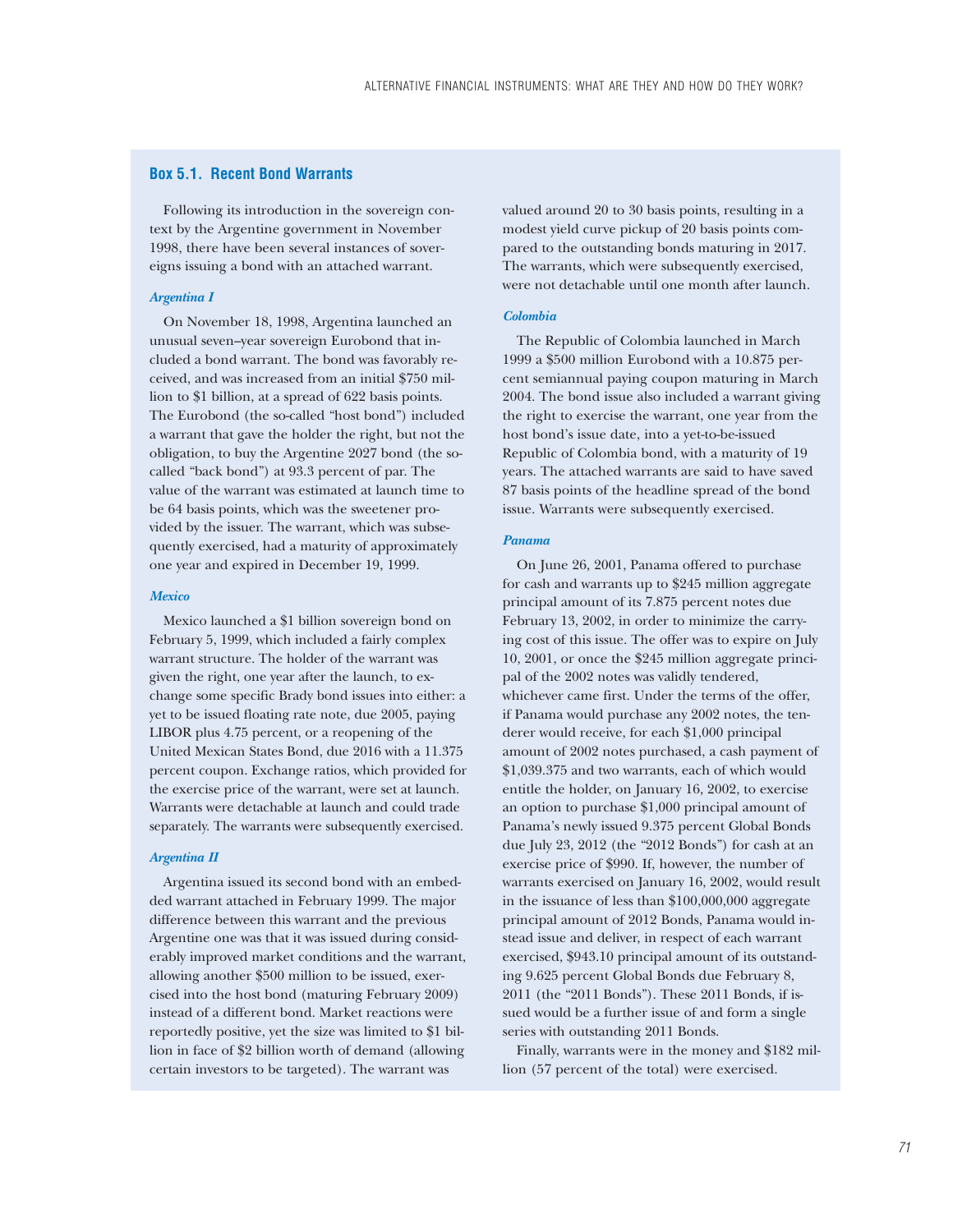## **Box 5.1. Recent Bond Warrants**

Following its introduction in the sovereign context by the Argentine government in November 1998, there have been several instances of sovereigns issuing a bond with an attached warrant.

#### *Argentina I*

On November 18, 1998, Argentina launched an unusual seven–year sovereign Eurobond that included a bond warrant. The bond was favorably received, and was increased from an initial \$750 million to \$1 billion, at a spread of 622 basis points. The Eurobond (the so-called "host bond") included a warrant that gave the holder the right, but not the obligation, to buy the Argentine 2027 bond (the socalled "back bond") at 93.3 percent of par. The value of the warrant was estimated at launch time to be 64 basis points, which was the sweetener provided by the issuer. The warrant, which was subsequently exercised, had a maturity of approximately one year and expired in December 19, 1999.

#### *Mexico*

Mexico launched a \$1 billion sovereign bond on February 5, 1999, which included a fairly complex warrant structure. The holder of the warrant was given the right, one year after the launch, to exchange some specific Brady bond issues into either: a yet to be issued floating rate note, due 2005, paying LIBOR plus 4.75 percent, or a reopening of the United Mexican States Bond, due 2016 with a 11.375 percent coupon. Exchange ratios, which provided for the exercise price of the warrant, were set at launch. Warrants were detachable at launch and could trade separately. The warrants were subsequently exercised.

#### *Argentina II*

Argentina issued its second bond with an embedded warrant attached in February 1999. The major difference between this warrant and the previous Argentine one was that it was issued during considerably improved market conditions and the warrant, allowing another \$500 million to be issued, exercised into the host bond (maturing February 2009) instead of a different bond. Market reactions were reportedly positive, yet the size was limited to \$1 billion in face of \$2 billion worth of demand (allowing certain investors to be targeted). The warrant was

valued around 20 to 30 basis points, resulting in a modest yield curve pickup of 20 basis points compared to the outstanding bonds maturing in 2017. The warrants, which were subsequently exercised, were not detachable until one month after launch.

#### *Colombia*

The Republic of Colombia launched in March 1999 a \$500 million Eurobond with a 10.875 percent semiannual paying coupon maturing in March 2004. The bond issue also included a warrant giving the right to exercise the warrant, one year from the host bond's issue date, into a yet-to-be-issued Republic of Colombia bond, with a maturity of 19 years. The attached warrants are said to have saved 87 basis points of the headline spread of the bond issue. Warrants were subsequently exercised.

#### *Panama*

On June 26, 2001, Panama offered to purchase for cash and warrants up to \$245 million aggregate principal amount of its 7.875 percent notes due February 13, 2002, in order to minimize the carrying cost of this issue. The offer was to expire on July 10, 2001, or once the \$245 million aggregate principal of the 2002 notes was validly tendered, whichever came first. Under the terms of the offer, if Panama would purchase any 2002 notes, the tenderer would receive, for each \$1,000 principal amount of 2002 notes purchased, a cash payment of \$1,039.375 and two warrants, each of which would entitle the holder, on January 16, 2002, to exercise an option to purchase \$1,000 principal amount of Panama's newly issued 9.375 percent Global Bonds due July 23, 2012 (the "2012 Bonds") for cash at an exercise price of \$990. If, however, the number of warrants exercised on January 16, 2002, would result in the issuance of less than \$100,000,000 aggregate principal amount of 2012 Bonds, Panama would instead issue and deliver, in respect of each warrant exercised, \$943.10 principal amount of its outstanding 9.625 percent Global Bonds due February 8, 2011 (the "2011 Bonds"). These 2011 Bonds, if issued would be a further issue of and form a single series with outstanding 2011 Bonds.

Finally, warrants were in the money and \$182 million (57 percent of the total) were exercised.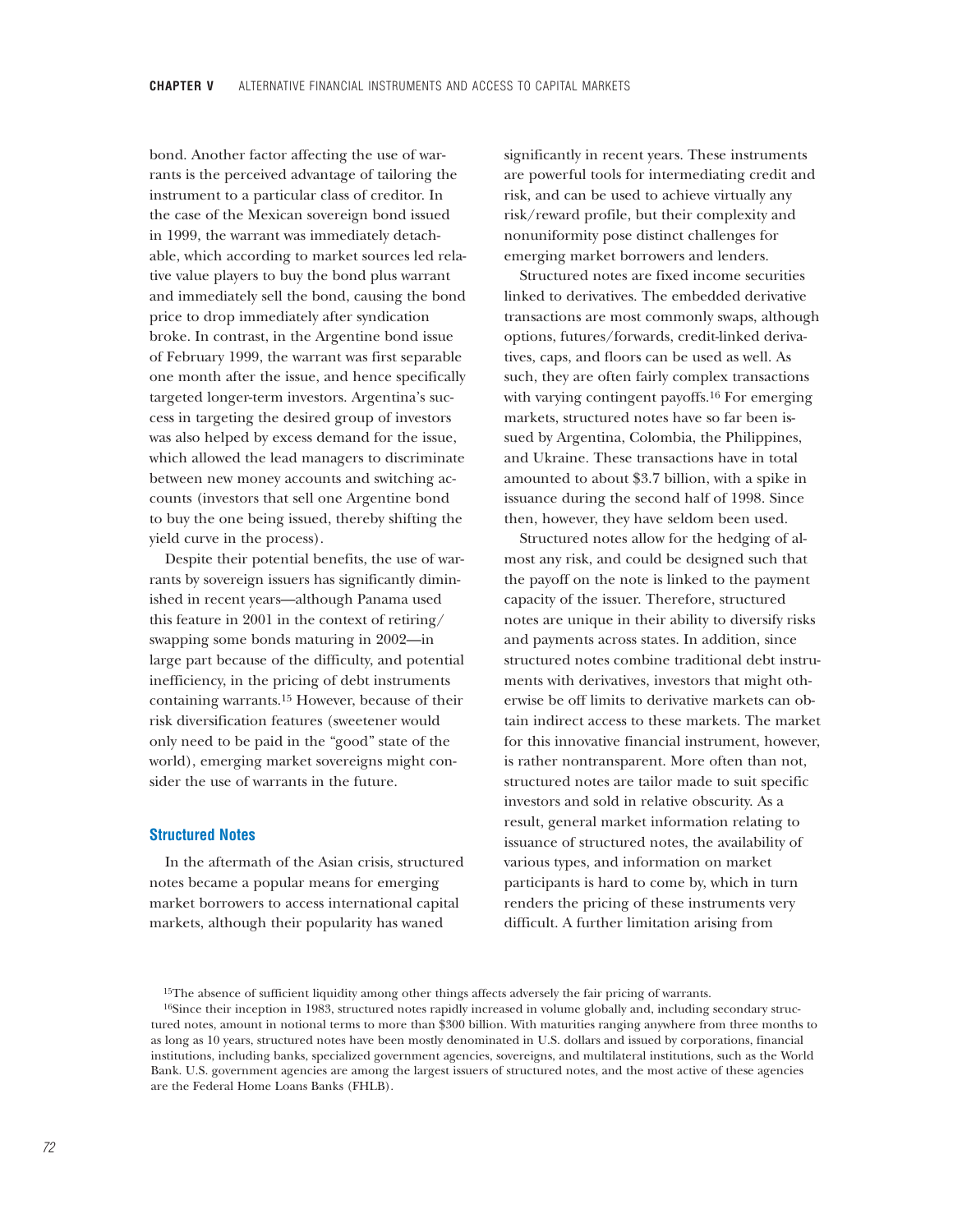bond. Another factor affecting the use of warrants is the perceived advantage of tailoring the instrument to a particular class of creditor. In the case of the Mexican sovereign bond issued in 1999, the warrant was immediately detachable, which according to market sources led relative value players to buy the bond plus warrant and immediately sell the bond, causing the bond price to drop immediately after syndication broke. In contrast, in the Argentine bond issue of February 1999, the warrant was first separable one month after the issue, and hence specifically targeted longer-term investors. Argentina's success in targeting the desired group of investors was also helped by excess demand for the issue, which allowed the lead managers to discriminate between new money accounts and switching accounts (investors that sell one Argentine bond to buy the one being issued, thereby shifting the yield curve in the process).

Despite their potential benefits, the use of warrants by sovereign issuers has significantly diminished in recent years—although Panama used this feature in 2001 in the context of retiring/ swapping some bonds maturing in 2002—in large part because of the difficulty, and potential inefficiency, in the pricing of debt instruments containing warrants.15 However, because of their risk diversification features (sweetener would only need to be paid in the "good" state of the world), emerging market sovereigns might consider the use of warrants in the future.

## **Structured Notes**

In the aftermath of the Asian crisis, structured notes became a popular means for emerging market borrowers to access international capital markets, although their popularity has waned

significantly in recent years. These instruments are powerful tools for intermediating credit and risk, and can be used to achieve virtually any risk/reward profile, but their complexity and nonuniformity pose distinct challenges for emerging market borrowers and lenders.

Structured notes are fixed income securities linked to derivatives. The embedded derivative transactions are most commonly swaps, although options, futures/forwards, credit-linked derivatives, caps, and floors can be used as well. As such, they are often fairly complex transactions with varying contingent payoffs.<sup>16</sup> For emerging markets, structured notes have so far been issued by Argentina, Colombia, the Philippines, and Ukraine. These transactions have in total amounted to about \$3.7 billion, with a spike in issuance during the second half of 1998. Since then, however, they have seldom been used.

Structured notes allow for the hedging of almost any risk, and could be designed such that the payoff on the note is linked to the payment capacity of the issuer. Therefore, structured notes are unique in their ability to diversify risks and payments across states. In addition, since structured notes combine traditional debt instruments with derivatives, investors that might otherwise be off limits to derivative markets can obtain indirect access to these markets. The market for this innovative financial instrument, however, is rather nontransparent. More often than not, structured notes are tailor made to suit specific investors and sold in relative obscurity. As a result, general market information relating to issuance of structured notes, the availability of various types, and information on market participants is hard to come by, which in turn renders the pricing of these instruments very difficult. A further limitation arising from

<sup>&</sup>lt;sup>15</sup>The absence of sufficient liquidity among other things affects adversely the fair pricing of warrants.

<sup>16</sup>Since their inception in 1983, structured notes rapidly increased in volume globally and, including secondary structured notes, amount in notional terms to more than \$300 billion. With maturities ranging anywhere from three months to as long as 10 years, structured notes have been mostly denominated in U.S. dollars and issued by corporations, financial institutions, including banks, specialized government agencies, sovereigns, and multilateral institutions, such as the World Bank. U.S. government agencies are among the largest issuers of structured notes, and the most active of these agencies are the Federal Home Loans Banks (FHLB).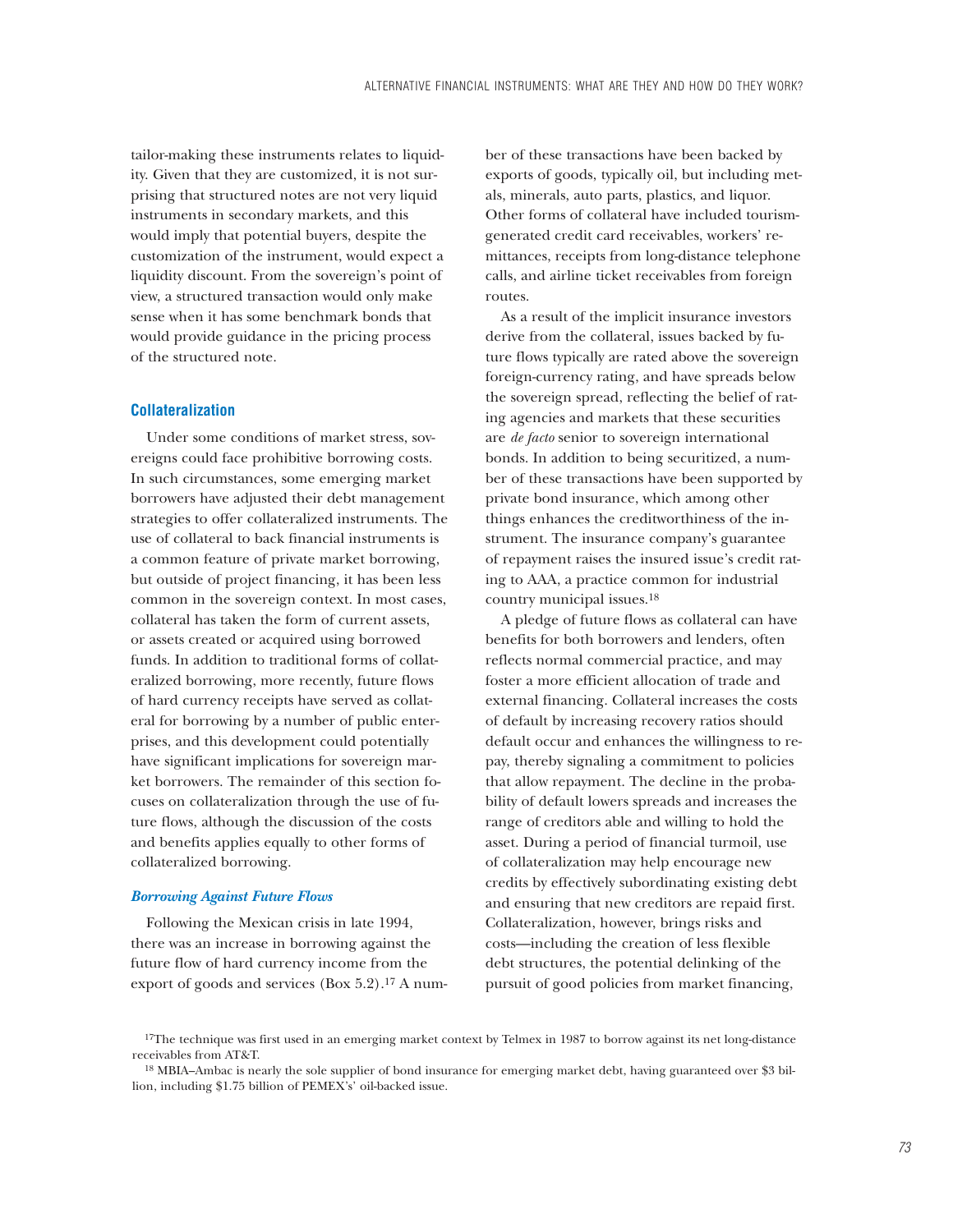tailor-making these instruments relates to liquidity. Given that they are customized, it is not surprising that structured notes are not very liquid instruments in secondary markets, and this would imply that potential buyers, despite the customization of the instrument, would expect a liquidity discount. From the sovereign's point of view, a structured transaction would only make sense when it has some benchmark bonds that would provide guidance in the pricing process of the structured note.

#### **Collateralization**

Under some conditions of market stress, sovereigns could face prohibitive borrowing costs. In such circumstances, some emerging market borrowers have adjusted their debt management strategies to offer collateralized instruments. The use of collateral to back financial instruments is a common feature of private market borrowing, but outside of project financing, it has been less common in the sovereign context. In most cases, collateral has taken the form of current assets, or assets created or acquired using borrowed funds. In addition to traditional forms of collateralized borrowing, more recently, future flows of hard currency receipts have served as collateral for borrowing by a number of public enterprises, and this development could potentially have significant implications for sovereign market borrowers. The remainder of this section focuses on collateralization through the use of future flows, although the discussion of the costs and benefits applies equally to other forms of collateralized borrowing.

#### *Borrowing Against Future Flows*

Following the Mexican crisis in late 1994, there was an increase in borrowing against the future flow of hard currency income from the export of goods and services (Box 5.2).17 A num-

ber of these transactions have been backed by exports of goods, typically oil, but including metals, minerals, auto parts, plastics, and liquor. Other forms of collateral have included tourismgenerated credit card receivables, workers' remittances, receipts from long-distance telephone calls, and airline ticket receivables from foreign routes.

As a result of the implicit insurance investors derive from the collateral, issues backed by future flows typically are rated above the sovereign foreign-currency rating, and have spreads below the sovereign spread, reflecting the belief of rating agencies and markets that these securities are *de facto* senior to sovereign international bonds. In addition to being securitized, a number of these transactions have been supported by private bond insurance, which among other things enhances the creditworthiness of the instrument. The insurance company's guarantee of repayment raises the insured issue's credit rating to AAA, a practice common for industrial country municipal issues.18

A pledge of future flows as collateral can have benefits for both borrowers and lenders, often reflects normal commercial practice, and may foster a more efficient allocation of trade and external financing. Collateral increases the costs of default by increasing recovery ratios should default occur and enhances the willingness to repay, thereby signaling a commitment to policies that allow repayment. The decline in the probability of default lowers spreads and increases the range of creditors able and willing to hold the asset. During a period of financial turmoil, use of collateralization may help encourage new credits by effectively subordinating existing debt and ensuring that new creditors are repaid first. Collateralization, however, brings risks and costs—including the creation of less flexible debt structures, the potential delinking of the pursuit of good policies from market financing,

<sup>&</sup>lt;sup>17</sup>The technique was first used in an emerging market context by Telmex in 1987 to borrow against its net long-distance receivables from AT&T.

<sup>18</sup> MBIA–Ambac is nearly the sole supplier of bond insurance for emerging market debt, having guaranteed over \$3 billion, including \$1.75 billion of PEMEX's' oil-backed issue.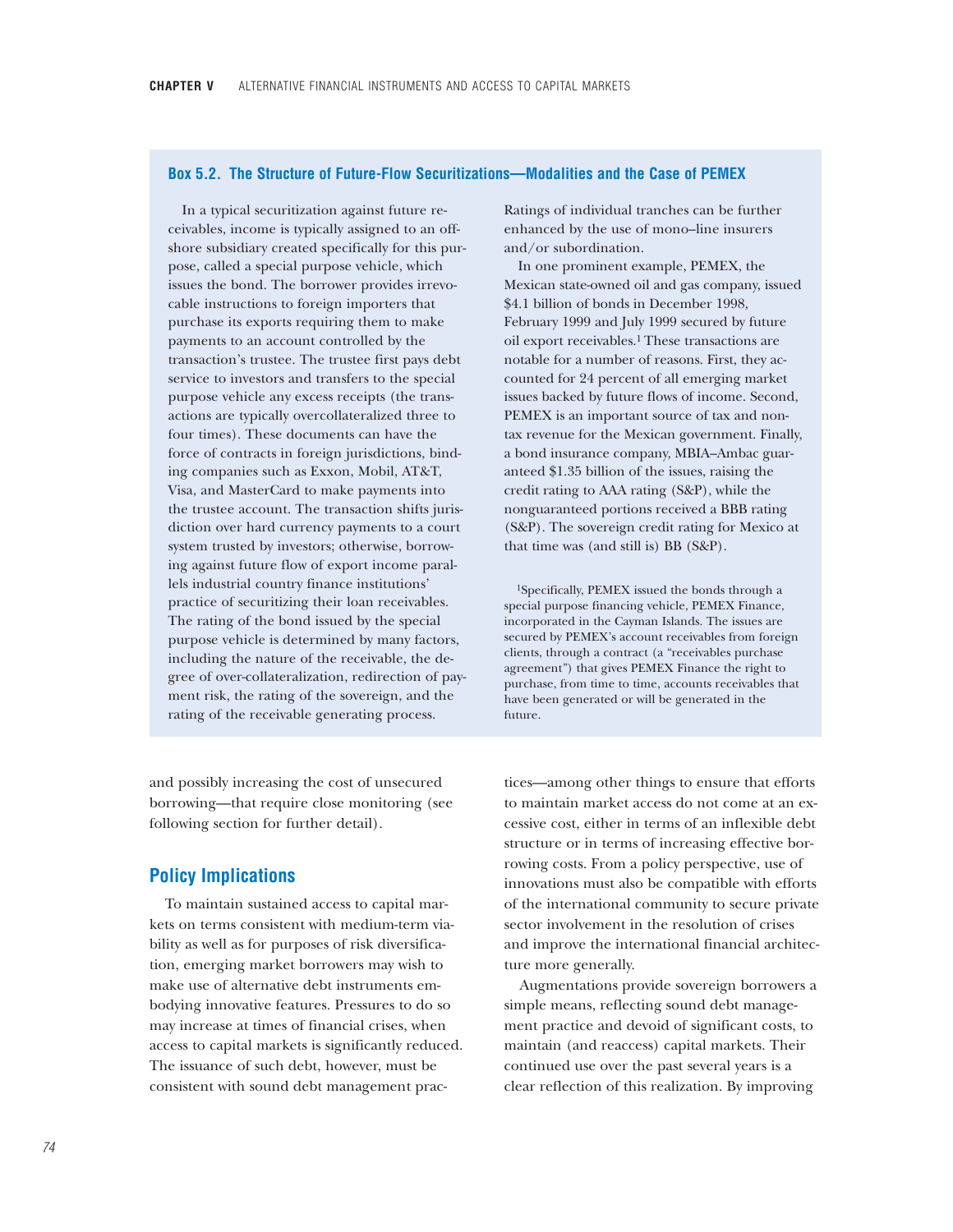#### **Box 5.2. The Structure of Future-Flow Securitizations—Modalities and the Case of PEMEX**

In a typical securitization against future receivables, income is typically assigned to an offshore subsidiary created specifically for this purpose, called a special purpose vehicle, which issues the bond. The borrower provides irrevocable instructions to foreign importers that purchase its exports requiring them to make payments to an account controlled by the transaction's trustee. The trustee first pays debt service to investors and transfers to the special purpose vehicle any excess receipts (the transactions are typically overcollateralized three to four times). These documents can have the force of contracts in foreign jurisdictions, binding companies such as Exxon, Mobil, AT&T, Visa, and MasterCard to make payments into the trustee account. The transaction shifts jurisdiction over hard currency payments to a court system trusted by investors; otherwise, borrowing against future flow of export income parallels industrial country finance institutions' practice of securitizing their loan receivables. The rating of the bond issued by the special purpose vehicle is determined by many factors, including the nature of the receivable, the degree of over-collateralization, redirection of payment risk, the rating of the sovereign, and the rating of the receivable generating process.

Ratings of individual tranches can be further enhanced by the use of mono–line insurers and/or subordination.

In one prominent example, PEMEX, the Mexican state-owned oil and gas company, issued \$4.1 billion of bonds in December 1998, February 1999 and July 1999 secured by future oil export receivables.1 These transactions are notable for a number of reasons. First, they accounted for 24 percent of all emerging market issues backed by future flows of income. Second, PEMEX is an important source of tax and nontax revenue for the Mexican government. Finally, a bond insurance company, MBIA–Ambac guaranteed \$1.35 billion of the issues, raising the credit rating to AAA rating (S&P), while the nonguaranteed portions received a BBB rating (S&P). The sovereign credit rating for Mexico at that time was (and still is) BB (S&P).

1Specifically, PEMEX issued the bonds through a special purpose financing vehicle, PEMEX Finance, incorporated in the Cayman Islands. The issues are secured by PEMEX's account receivables from foreign clients, through a contract (a "receivables purchase agreement") that gives PEMEX Finance the right to purchase, from time to time, accounts receivables that have been generated or will be generated in the future.

and possibly increasing the cost of unsecured borrowing—that require close monitoring (see following section for further detail).

## **Policy Implications**

To maintain sustained access to capital markets on terms consistent with medium-term viability as well as for purposes of risk diversification, emerging market borrowers may wish to make use of alternative debt instruments embodying innovative features. Pressures to do so may increase at times of financial crises, when access to capital markets is significantly reduced. The issuance of such debt, however, must be consistent with sound debt management practices—among other things to ensure that efforts to maintain market access do not come at an excessive cost, either in terms of an inflexible debt structure or in terms of increasing effective borrowing costs. From a policy perspective, use of innovations must also be compatible with efforts of the international community to secure private sector involvement in the resolution of crises and improve the international financial architecture more generally.

Augmentations provide sovereign borrowers a simple means, reflecting sound debt management practice and devoid of significant costs, to maintain (and reaccess) capital markets. Their continued use over the past several years is a clear reflection of this realization. By improving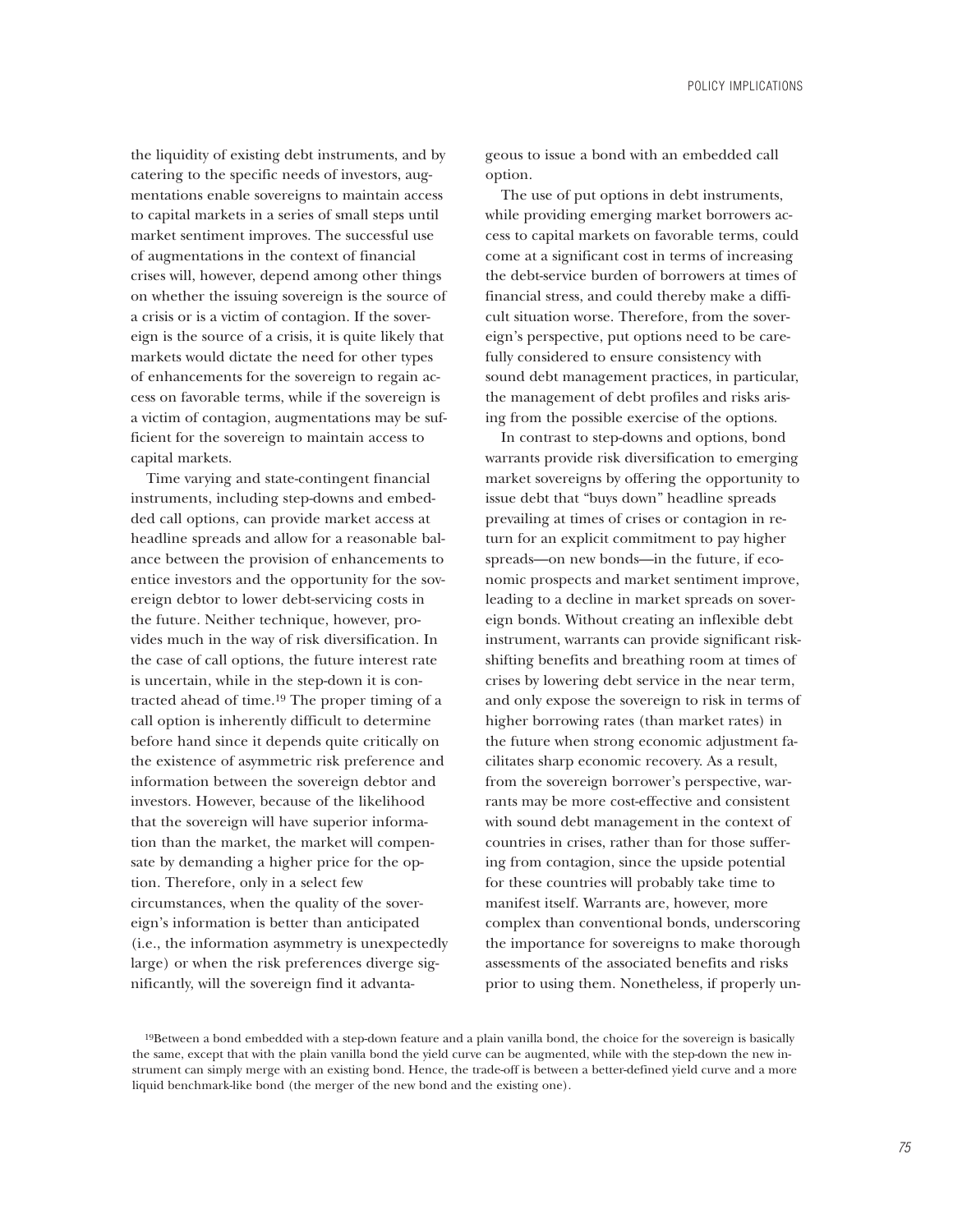the liquidity of existing debt instruments, and by catering to the specific needs of investors, augmentations enable sovereigns to maintain access to capital markets in a series of small steps until market sentiment improves. The successful use of augmentations in the context of financial crises will, however, depend among other things on whether the issuing sovereign is the source of a crisis or is a victim of contagion. If the sovereign is the source of a crisis, it is quite likely that markets would dictate the need for other types of enhancements for the sovereign to regain access on favorable terms, while if the sovereign is a victim of contagion, augmentations may be sufficient for the sovereign to maintain access to capital markets.

Time varying and state-contingent financial instruments, including step-downs and embedded call options, can provide market access at headline spreads and allow for a reasonable balance between the provision of enhancements to entice investors and the opportunity for the sovereign debtor to lower debt-servicing costs in the future. Neither technique, however, provides much in the way of risk diversification. In the case of call options, the future interest rate is uncertain, while in the step-down it is contracted ahead of time.19 The proper timing of a call option is inherently difficult to determine before hand since it depends quite critically on the existence of asymmetric risk preference and information between the sovereign debtor and investors. However, because of the likelihood that the sovereign will have superior information than the market, the market will compensate by demanding a higher price for the option. Therefore, only in a select few circumstances, when the quality of the sovereign's information is better than anticipated (i.e., the information asymmetry is unexpectedly large) or when the risk preferences diverge significantly, will the sovereign find it advantageous to issue a bond with an embedded call option.

The use of put options in debt instruments, while providing emerging market borrowers access to capital markets on favorable terms, could come at a significant cost in terms of increasing the debt-service burden of borrowers at times of financial stress, and could thereby make a difficult situation worse. Therefore, from the sovereign's perspective, put options need to be carefully considered to ensure consistency with sound debt management practices, in particular, the management of debt profiles and risks arising from the possible exercise of the options.

In contrast to step-downs and options, bond warrants provide risk diversification to emerging market sovereigns by offering the opportunity to issue debt that "buys down" headline spreads prevailing at times of crises or contagion in return for an explicit commitment to pay higher spreads—on new bonds—in the future, if economic prospects and market sentiment improve, leading to a decline in market spreads on sovereign bonds. Without creating an inflexible debt instrument, warrants can provide significant riskshifting benefits and breathing room at times of crises by lowering debt service in the near term, and only expose the sovereign to risk in terms of higher borrowing rates (than market rates) in the future when strong economic adjustment facilitates sharp economic recovery. As a result, from the sovereign borrower's perspective, warrants may be more cost-effective and consistent with sound debt management in the context of countries in crises, rather than for those suffering from contagion, since the upside potential for these countries will probably take time to manifest itself. Warrants are, however, more complex than conventional bonds, underscoring the importance for sovereigns to make thorough assessments of the associated benefits and risks prior to using them. Nonetheless, if properly un-

 $19$ Between a bond embedded with a step-down feature and a plain vanilla bond, the choice for the sovereign is basically the same, except that with the plain vanilla bond the yield curve can be augmented, while with the step-down the new instrument can simply merge with an existing bond. Hence, the trade-off is between a better-defined yield curve and a more liquid benchmark-like bond (the merger of the new bond and the existing one).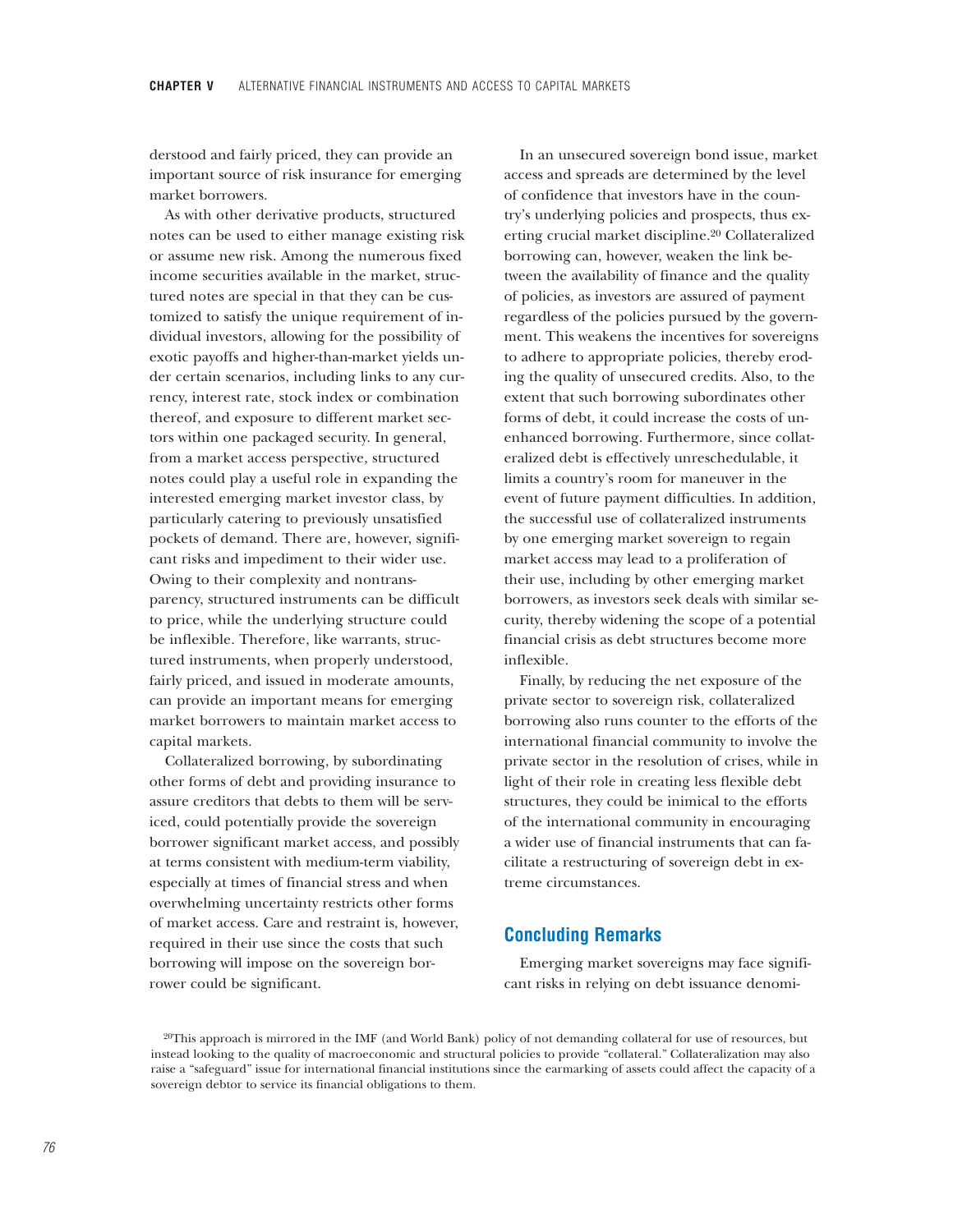derstood and fairly priced, they can provide an important source of risk insurance for emerging market borrowers.

As with other derivative products, structured notes can be used to either manage existing risk or assume new risk. Among the numerous fixed income securities available in the market, structured notes are special in that they can be customized to satisfy the unique requirement of individual investors, allowing for the possibility of exotic payoffs and higher-than-market yields under certain scenarios, including links to any currency, interest rate, stock index or combination thereof, and exposure to different market sectors within one packaged security. In general, from a market access perspective, structured notes could play a useful role in expanding the interested emerging market investor class, by particularly catering to previously unsatisfied pockets of demand. There are, however, significant risks and impediment to their wider use. Owing to their complexity and nontransparency, structured instruments can be difficult to price, while the underlying structure could be inflexible. Therefore, like warrants, structured instruments, when properly understood, fairly priced, and issued in moderate amounts, can provide an important means for emerging market borrowers to maintain market access to capital markets.

Collateralized borrowing, by subordinating other forms of debt and providing insurance to assure creditors that debts to them will be serviced, could potentially provide the sovereign borrower significant market access, and possibly at terms consistent with medium-term viability, especially at times of financial stress and when overwhelming uncertainty restricts other forms of market access. Care and restraint is, however, required in their use since the costs that such borrowing will impose on the sovereign borrower could be significant.

In an unsecured sovereign bond issue, market access and spreads are determined by the level of confidence that investors have in the country's underlying policies and prospects, thus exerting crucial market discipline.20 Collateralized borrowing can, however, weaken the link between the availability of finance and the quality of policies, as investors are assured of payment regardless of the policies pursued by the government. This weakens the incentives for sovereigns to adhere to appropriate policies, thereby eroding the quality of unsecured credits. Also, to the extent that such borrowing subordinates other forms of debt, it could increase the costs of unenhanced borrowing. Furthermore, since collateralized debt is effectively unreschedulable, it limits a country's room for maneuver in the event of future payment difficulties. In addition, the successful use of collateralized instruments by one emerging market sovereign to regain market access may lead to a proliferation of their use, including by other emerging market borrowers, as investors seek deals with similar security, thereby widening the scope of a potential financial crisis as debt structures become more inflexible.

Finally, by reducing the net exposure of the private sector to sovereign risk, collateralized borrowing also runs counter to the efforts of the international financial community to involve the private sector in the resolution of crises, while in light of their role in creating less flexible debt structures, they could be inimical to the efforts of the international community in encouraging a wider use of financial instruments that can facilitate a restructuring of sovereign debt in extreme circumstances.

## **Concluding Remarks**

Emerging market sovereigns may face significant risks in relying on debt issuance denomi-

<sup>20</sup>This approach is mirrored in the IMF (and World Bank) policy of not demanding collateral for use of resources, but instead looking to the quality of macroeconomic and structural policies to provide "collateral." Collateralization may also raise a "safeguard" issue for international financial institutions since the earmarking of assets could affect the capacity of a sovereign debtor to service its financial obligations to them.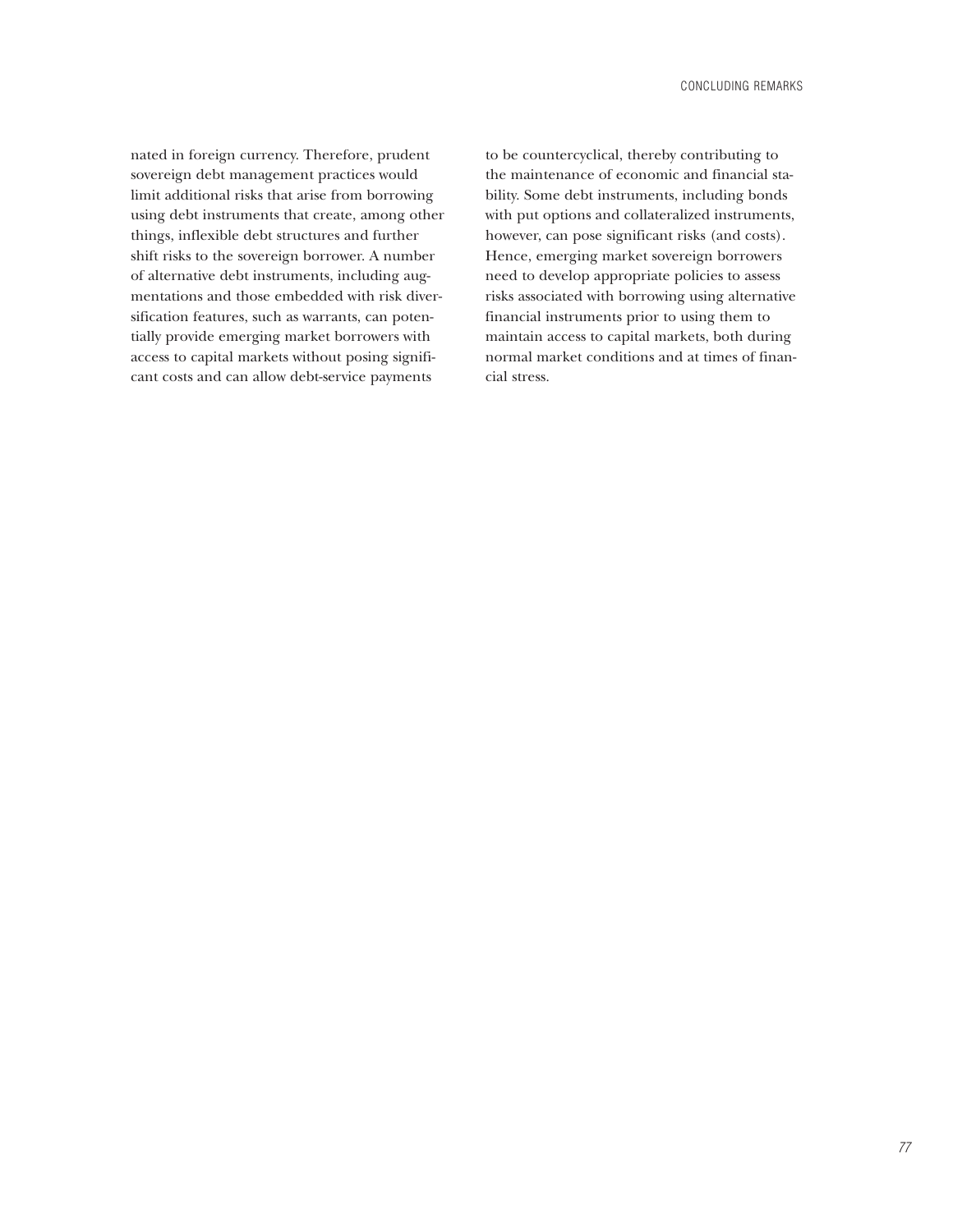nated in foreign currency. Therefore, prudent sovereign debt management practices would limit additional risks that arise from borrowing using debt instruments that create, among other things, inflexible debt structures and further shift risks to the sovereign borrower. A number of alternative debt instruments, including augmentations and those embedded with risk diversification features, such as warrants, can potentially provide emerging market borrowers with access to capital markets without posing significant costs and can allow debt-service payments

to be countercyclical, thereby contributing to the maintenance of economic and financial stability. Some debt instruments, including bonds with put options and collateralized instruments, however, can pose significant risks (and costs). Hence, emerging market sovereign borrowers need to develop appropriate policies to assess risks associated with borrowing using alternative financial instruments prior to using them to maintain access to capital markets, both during normal market conditions and at times of financial stress.